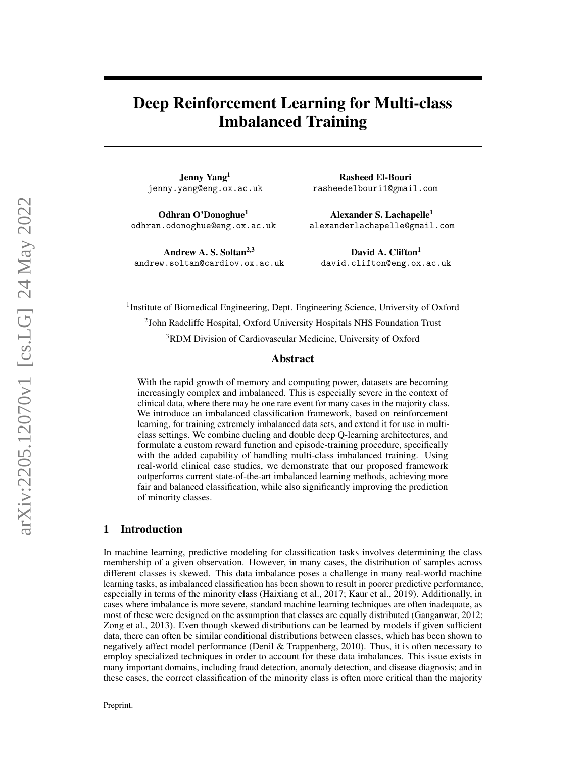# Deep Reinforcement Learning for Multi-class Imbalanced Training

Jenny Yang<sup>1</sup> jenny.yang@eng.ox.ac.uk

Odhran O'Donoghue<sup>1</sup> odhran.odonoghue@eng.ox.ac.uk

Andrew A. S. Soltan<sup>2,3</sup> andrew.soltan@cardiov.ox.ac.uk

Rasheed El-Bouri rasheedelbouri1@gmail.com

Alexander S. Lachapelle<sup>1</sup> alexanderlachapelle@gmail.com

David A. Clifton<sup>1</sup> david.clifton@eng.ox.ac.uk

<sup>1</sup>Institute of Biomedical Engineering, Dept. Engineering Science, University of Oxford <sup>2</sup>John Radcliffe Hospital, Oxford University Hospitals NHS Foundation Trust <sup>3</sup>RDM Division of Cardiovascular Medicine, University of Oxford

#### Abstract

With the rapid growth of memory and computing power, datasets are becoming increasingly complex and imbalanced. This is especially severe in the context of clinical data, where there may be one rare event for many cases in the majority class. We introduce an imbalanced classification framework, based on reinforcement learning, for training extremely imbalanced data sets, and extend it for use in multiclass settings. We combine dueling and double deep Q-learning architectures, and formulate a custom reward function and episode-training procedure, specifically with the added capability of handling multi-class imbalanced training. Using real-world clinical case studies, we demonstrate that our proposed framework outperforms current state-of-the-art imbalanced learning methods, achieving more fair and balanced classification, while also significantly improving the prediction of minority classes.

#### 1 Introduction

In machine learning, predictive modeling for classification tasks involves determining the class membership of a given observation. However, in many cases, the distribution of samples across different classes is skewed. This data imbalance poses a challenge in many real-world machine learning tasks, as imbalanced classification has been shown to result in poorer predictive performance, especially in terms of the minority class (Haixiang et al., 2017; Kaur et al., 2019). Additionally, in cases where imbalance is more severe, standard machine learning techniques are often inadequate, as most of these were designed on the assumption that classes are equally distributed (Ganganwar, 2012; Zong et al., 2013). Even though skewed distributions can be learned by models if given sufficient data, there can often be similar conditional distributions between classes, which has been shown to negatively affect model performance (Denil & Trappenberg, 2010). Thus, it is often necessary to employ specialized techniques in order to account for these data imbalances. This issue exists in many important domains, including fraud detection, anomaly detection, and disease diagnosis; and in these cases, the correct classification of the minority class is often more critical than the majority

Preprint.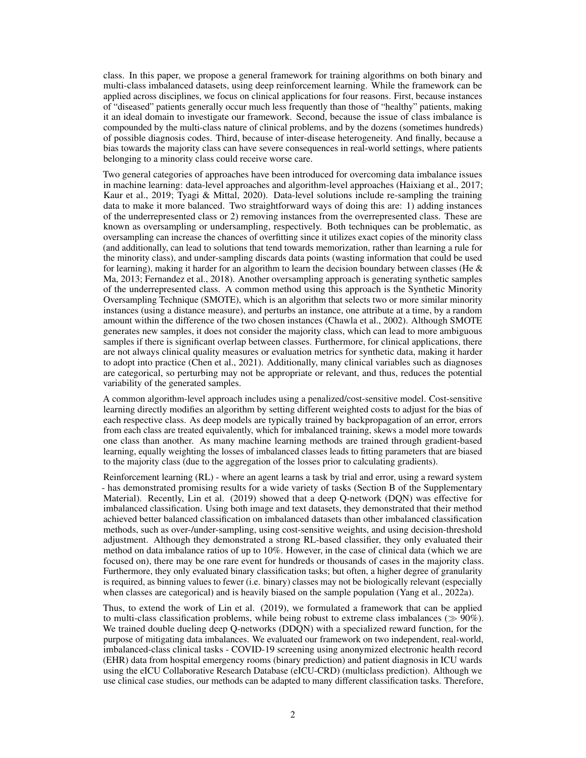class. In this paper, we propose a general framework for training algorithms on both binary and multi-class imbalanced datasets, using deep reinforcement learning. While the framework can be applied across disciplines, we focus on clinical applications for four reasons. First, because instances of "diseased" patients generally occur much less frequently than those of "healthy" patients, making it an ideal domain to investigate our framework. Second, because the issue of class imbalance is compounded by the multi-class nature of clinical problems, and by the dozens (sometimes hundreds) of possible diagnosis codes. Third, because of inter-disease heterogeneity. And finally, because a bias towards the majority class can have severe consequences in real-world settings, where patients belonging to a minority class could receive worse care.

Two general categories of approaches have been introduced for overcoming data imbalance issues in machine learning: data-level approaches and algorithm-level approaches (Haixiang et al., 2017; Kaur et al., 2019; Tyagi & Mittal, 2020). Data-level solutions include re-sampling the training data to make it more balanced. Two straightforward ways of doing this are: 1) adding instances of the underrepresented class or 2) removing instances from the overrepresented class. These are known as oversampling or undersampling, respectively. Both techniques can be problematic, as oversampling can increase the chances of overfitting since it utilizes exact copies of the minority class (and additionally, can lead to solutions that tend towards memorization, rather than learning a rule for the minority class), and under-sampling discards data points (wasting information that could be used for learning), making it harder for an algorithm to learn the decision boundary between classes (He  $\&$ Ma, 2013; Fernandez et al., 2018). Another oversampling approach is generating synthetic samples of the underrepresented class. A common method using this approach is the Synthetic Minority Oversampling Technique (SMOTE), which is an algorithm that selects two or more similar minority instances (using a distance measure), and perturbs an instance, one attribute at a time, by a random amount within the difference of the two chosen instances (Chawla et al., 2002). Although SMOTE generates new samples, it does not consider the majority class, which can lead to more ambiguous samples if there is significant overlap between classes. Furthermore, for clinical applications, there are not always clinical quality measures or evaluation metrics for synthetic data, making it harder to adopt into practice (Chen et al., 2021). Additionally, many clinical variables such as diagnoses are categorical, so perturbing may not be appropriate or relevant, and thus, reduces the potential variability of the generated samples.

A common algorithm-level approach includes using a penalized/cost-sensitive model. Cost-sensitive learning directly modifies an algorithm by setting different weighted costs to adjust for the bias of each respective class. As deep models are typically trained by backpropagation of an error, errors from each class are treated equivalently, which for imbalanced training, skews a model more towards one class than another. As many machine learning methods are trained through gradient-based learning, equally weighting the losses of imbalanced classes leads to fitting parameters that are biased to the majority class (due to the aggregation of the losses prior to calculating gradients).

Reinforcement learning (RL) - where an agent learns a task by trial and error, using a reward system - has demonstrated promising results for a wide variety of tasks (Section B of the Supplementary Material). Recently, Lin et al. (2019) showed that a deep Q-network (DQN) was effective for imbalanced classification. Using both image and text datasets, they demonstrated that their method achieved better balanced classification on imbalanced datasets than other imbalanced classification methods, such as over-/under-sampling, using cost-sensitive weights, and using decision-threshold adjustment. Although they demonstrated a strong RL-based classifier, they only evaluated their method on data imbalance ratios of up to 10%. However, in the case of clinical data (which we are focused on), there may be one rare event for hundreds or thousands of cases in the majority class. Furthermore, they only evaluated binary classification tasks; but often, a higher degree of granularity is required, as binning values to fewer (i.e. binary) classes may not be biologically relevant (especially when classes are categorical) and is heavily biased on the sample population (Yang et al., 2022a).

Thus, to extend the work of Lin et al. (2019), we formulated a framework that can be applied to multi-class classification problems, while being robust to extreme class imbalances ( $\gg$  90%). We trained double dueling deep Q-networks (DDQN) with a specialized reward function, for the purpose of mitigating data imbalances. We evaluated our framework on two independent, real-world, imbalanced-class clinical tasks - COVID-19 screening using anonymized electronic health record (EHR) data from hospital emergency rooms (binary prediction) and patient diagnosis in ICU wards using the eICU Collaborative Research Database (eICU-CRD) (multiclass prediction). Although we use clinical case studies, our methods can be adapted to many different classification tasks. Therefore,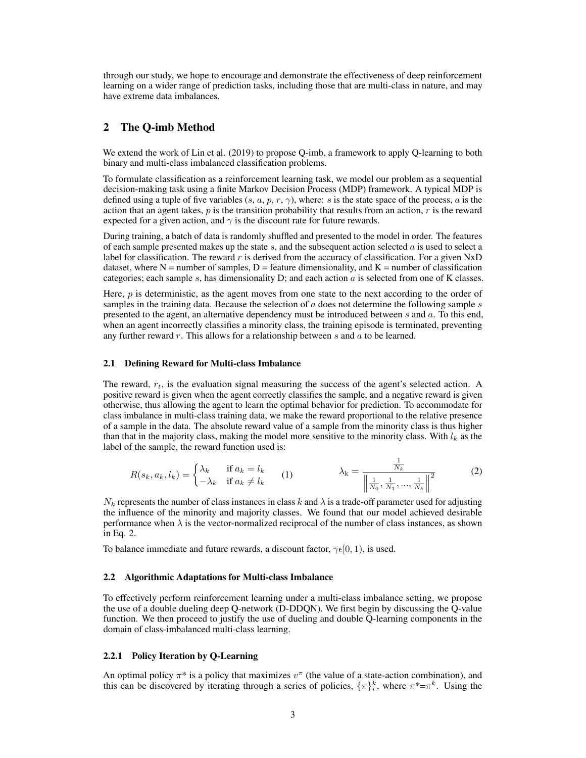through our study, we hope to encourage and demonstrate the effectiveness of deep reinforcement learning on a wider range of prediction tasks, including those that are multi-class in nature, and may have extreme data imbalances.

# 2 The Q-imb Method

We extend the work of Lin et al. (2019) to propose Q-imb, a framework to apply Q-learning to both binary and multi-class imbalanced classification problems.

To formulate classification as a reinforcement learning task, we model our problem as a sequential decision-making task using a finite Markov Decision Process (MDP) framework. A typical MDP is defined using a tuple of five variables  $(s, a, p, r, \gamma)$ , where: s is the state space of the process, a is the action that an agent takes,  $p$  is the transition probability that results from an action,  $r$  is the reward expected for a given action, and  $\gamma$  is the discount rate for future rewards.

During training, a batch of data is randomly shuffled and presented to the model in order. The features of each sample presented makes up the state  $s$ , and the subsequent action selected  $a$  is used to select a label for classification. The reward r is derived from the accuracy of classification. For a given  $NxD$ dataset, where  $N =$  number of samples,  $D =$  feature dimensionality, and  $K =$  number of classification categories; each sample  $s$ , has dimensionality  $D$ ; and each action  $a$  is selected from one of K classes.

Here,  $p$  is deterministic, as the agent moves from one state to the next according to the order of samples in the training data. Because the selection of  $a$  does not determine the following sample  $s$ presented to the agent, an alternative dependency must be introduced between  $s$  and  $a$ . To this end, when an agent incorrectly classifies a minority class, the training episode is terminated, preventing any further reward  $r$ . This allows for a relationship between  $s$  and  $a$  to be learned.

#### 2.1 Defining Reward for Multi-class Imbalance

The reward,  $r_t$ , is the evaluation signal measuring the success of the agent's selected action. A positive reward is given when the agent correctly classifies the sample, and a negative reward is given otherwise, thus allowing the agent to learn the optimal behavior for prediction. To accommodate for class imbalance in multi-class training data, we make the reward proportional to the relative presence of a sample in the data. The absolute reward value of a sample from the minority class is thus higher than that in the majority class, making the model more sensitive to the minority class. With  $l_k$  as the label of the sample, the reward function used is:

$$
R(s_k, a_k, l_k) = \begin{cases} \lambda_k & \text{if } a_k = l_k \\ -\lambda_k & \text{if } a_k \neq l_k \end{cases} \qquad (1) \qquad \qquad \lambda_k = \frac{\frac{1}{N_k}}{\left\| \frac{1}{N_0}, \frac{1}{N_1}, \dots, \frac{1}{N_k} \right\|^2} \qquad (2)
$$

 $N_k$  represents the number of class instances in class k and  $\lambda$  is a trade-off parameter used for adjusting the influence of the minority and majority classes. We found that our model achieved desirable performance when  $\lambda$  is the vector-normalized reciprocal of the number of class instances, as shown in Eq. 2.

To balance immediate and future rewards, a discount factor,  $\gamma \in [0, 1)$ , is used.

#### 2.2 Algorithmic Adaptations for Multi-class Imbalance

To effectively perform reinforcement learning under a multi-class imbalance setting, we propose the use of a double dueling deep Q-network (D-DDQN). We first begin by discussing the Q-value function. We then proceed to justify the use of dueling and double Q-learning components in the domain of class-imbalanced multi-class learning.

#### 2.2.1 Policy Iteration by Q-Learning

An optimal policy  $\pi^*$  is a policy that maximizes  $v^{\pi}$  (the value of a state-action combination), and this can be discovered by iterating through a series of policies,  $\{\pi\}_i^k$ , where  $\pi^* = \pi^k$ . Using the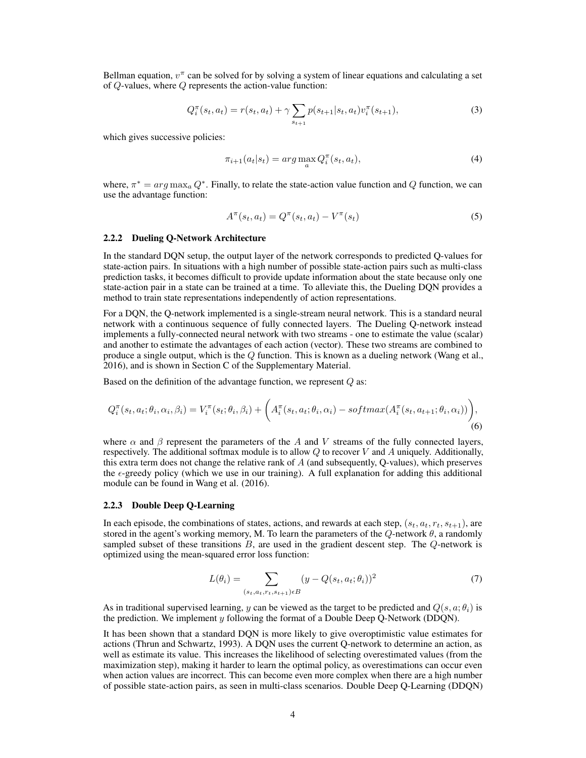Bellman equation,  $v^{\pi}$  can be solved for by solving a system of linear equations and calculating a set of Q-values, where Q represents the action-value function:

$$
Q_i^{\pi}(s_t, a_t) = r(s_t, a_t) + \gamma \sum_{s_{t+1}} p(s_{t+1}|s_t, a_t) v_i^{\pi}(s_{t+1}),
$$
\n(3)

which gives successive policies:

$$
\pi_{i+1}(a_t|s_t) = \arg\max_a Q_i^{\pi}(s_t, a_t),\tag{4}
$$

where,  $\pi^* = arg \max_a Q^*$ . Finally, to relate the state-action value function and Q function, we can use the advantage function:

$$
A^{\pi}(s_t, a_t) = Q^{\pi}(s_t, a_t) - V^{\pi}(s_t)
$$
\n(5)

#### 2.2.2 Dueling Q-Network Architecture

In the standard DQN setup, the output layer of the network corresponds to predicted Q-values for state-action pairs. In situations with a high number of possible state-action pairs such as multi-class prediction tasks, it becomes difficult to provide update information about the state because only one state-action pair in a state can be trained at a time. To alleviate this, the Dueling DQN provides a method to train state representations independently of action representations.

For a DQN, the Q-network implemented is a single-stream neural network. This is a standard neural network with a continuous sequence of fully connected layers. The Dueling Q-network instead implements a fully-connected neural network with two streams - one to estimate the value (scalar) and another to estimate the advantages of each action (vector). These two streams are combined to produce a single output, which is the  $Q$  function. This is known as a dueling network (Wang et al., 2016), and is shown in Section C of the Supplementary Material.

Based on the definition of the advantage function, we represent  $Q$  as:

$$
Q_i^{\pi}(s_t, a_t; \theta_i, \alpha_i, \beta_i) = V_i^{\pi}(s_t; \theta_i, \beta_i) + \left(A_i^{\pi}(s_t, a_t; \theta_i, \alpha_i) - softmax(A_i^{\pi}(s_t, a_{t+1}; \theta_i, \alpha_i))\right),
$$
\n(6)

where  $\alpha$  and  $\beta$  represent the parameters of the A and V streams of the fully connected layers, respectively. The additional softmax module is to allow Q to recover V and A uniquely. Additionally, this extra term does not change the relative rank of  $A$  (and subsequently, Q-values), which preserves the  $\epsilon$ -greedy policy (which we use in our training). A full explanation for adding this additional module can be found in Wang et al. (2016).

#### 2.2.3 Double Deep Q-Learning

In each episode, the combinations of states, actions, and rewards at each step,  $(s_t, a_t, r_t, s_{t+1})$ , are stored in the agent's working memory, M. To learn the parameters of the  $Q$ -network  $\theta$ , a randomly sampled subset of these transitions  $B$ , are used in the gradient descent step. The  $Q$ -network is optimized using the mean-squared error loss function:

$$
L(\theta_i) = \sum_{(s_t, a_t, r_t, s_{t+1}) \in B} (y - Q(s_t, a_t; \theta_i))^2
$$
\n(7)

As in traditional supervised learning, y can be viewed as the target to be predicted and  $Q(s, a; \theta_i)$  is the prediction. We implement  $y$  following the format of a Double Deep O-Network (DDON).

It has been shown that a standard DQN is more likely to give overoptimistic value estimates for actions (Thrun and Schwartz, 1993). A DQN uses the current Q-network to determine an action, as well as estimate its value. This increases the likelihood of selecting overestimated values (from the maximization step), making it harder to learn the optimal policy, as overestimations can occur even when action values are incorrect. This can become even more complex when there are a high number of possible state-action pairs, as seen in multi-class scenarios. Double Deep Q-Learning (DDQN)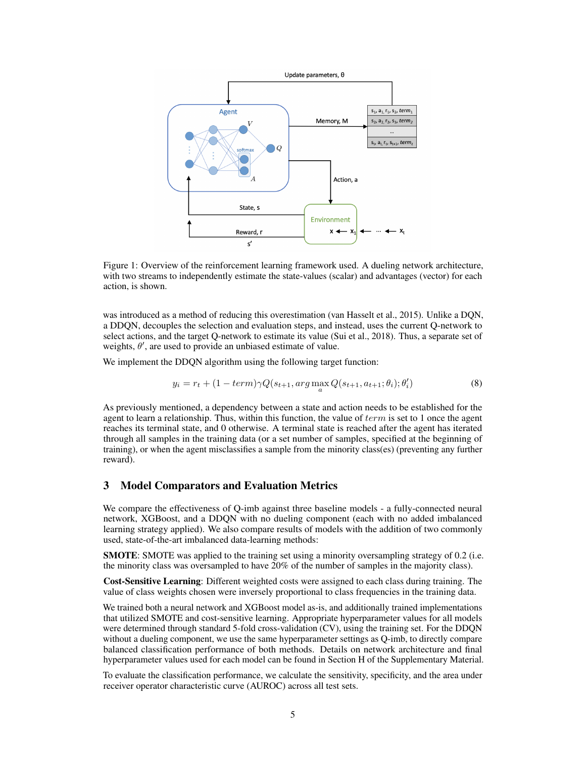

Figure 1: Overview of the reinforcement learning framework used. A dueling network architecture, with two streams to independently estimate the state-values (scalar) and advantages (vector) for each action, is shown.

was introduced as a method of reducing this overestimation (van Hasselt et al., 2015). Unlike a DQN, a DDQN, decouples the selection and evaluation steps, and instead, uses the current Q-network to select actions, and the target Q-network to estimate its value (Sui et al., 2018). Thus, a separate set of weights,  $\theta'$ , are used to provide an unbiased estimate of value.

We implement the DDQN algorithm using the following target function:

$$
y_i = r_t + (1 - term)\gamma Q(s_{t+1}, arg\max_a Q(s_{t+1}, a_{t+1}; \theta_i); \theta'_i)
$$
\n
$$
(8)
$$

As previously mentioned, a dependency between a state and action needs to be established for the agent to learn a relationship. Thus, within this function, the value of  $term$  is set to 1 once the agent reaches its terminal state, and 0 otherwise. A terminal state is reached after the agent has iterated through all samples in the training data (or a set number of samples, specified at the beginning of training), or when the agent misclassifies a sample from the minority class(es) (preventing any further reward).

#### 3 Model Comparators and Evaluation Metrics

We compare the effectiveness of Q-imb against three baseline models - a fully-connected neural network, XGBoost, and a DDQN with no dueling component (each with no added imbalanced learning strategy applied). We also compare results of models with the addition of two commonly used, state-of-the-art imbalanced data-learning methods:

SMOTE: SMOTE was applied to the training set using a minority oversampling strategy of 0.2 (i.e. the minority class was oversampled to have 20% of the number of samples in the majority class).

Cost-Sensitive Learning: Different weighted costs were assigned to each class during training. The value of class weights chosen were inversely proportional to class frequencies in the training data.

We trained both a neural network and XGBoost model as-is, and additionally trained implementations that utilized SMOTE and cost-sensitive learning. Appropriate hyperparameter values for all models were determined through standard 5-fold cross-validation (CV), using the training set. For the DDQN without a dueling component, we use the same hyperparameter settings as Q-imb, to directly compare balanced classification performance of both methods. Details on network architecture and final hyperparameter values used for each model can be found in Section H of the Supplementary Material.

To evaluate the classification performance, we calculate the sensitivity, specificity, and the area under receiver operator characteristic curve (AUROC) across all test sets.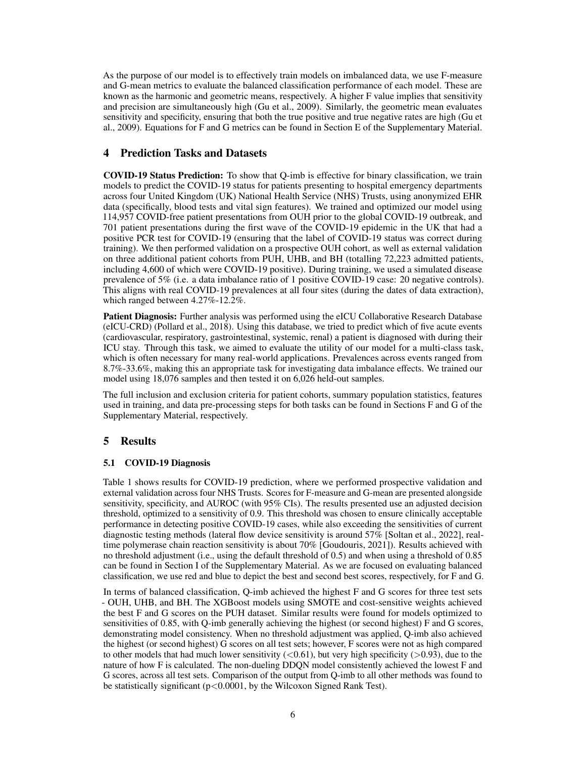As the purpose of our model is to effectively train models on imbalanced data, we use F-measure and G-mean metrics to evaluate the balanced classification performance of each model. These are known as the harmonic and geometric means, respectively. A higher F value implies that sensitivity and precision are simultaneously high (Gu et al., 2009). Similarly, the geometric mean evaluates sensitivity and specificity, ensuring that both the true positive and true negative rates are high (Gu et al., 2009). Equations for F and G metrics can be found in Section E of the Supplementary Material.

# 4 Prediction Tasks and Datasets

COVID-19 Status Prediction: To show that Q-imb is effective for binary classification, we train models to predict the COVID-19 status for patients presenting to hospital emergency departments across four United Kingdom (UK) National Health Service (NHS) Trusts, using anonymized EHR data (specifically, blood tests and vital sign features). We trained and optimized our model using 114,957 COVID-free patient presentations from OUH prior to the global COVID-19 outbreak, and 701 patient presentations during the first wave of the COVID-19 epidemic in the UK that had a positive PCR test for COVID-19 (ensuring that the label of COVID-19 status was correct during training). We then performed validation on a prospective OUH cohort, as well as external validation on three additional patient cohorts from PUH, UHB, and BH (totalling 72,223 admitted patients, including 4,600 of which were COVID-19 positive). During training, we used a simulated disease prevalence of 5% (i.e. a data imbalance ratio of 1 positive COVID-19 case: 20 negative controls). This aligns with real COVID-19 prevalences at all four sites (during the dates of data extraction), which ranged between 4.27%-12.2%.

Patient Diagnosis: Further analysis was performed using the eICU Collaborative Research Database (eICU-CRD) (Pollard et al., 2018). Using this database, we tried to predict which of five acute events (cardiovascular, respiratory, gastrointestinal, systemic, renal) a patient is diagnosed with during their ICU stay. Through this task, we aimed to evaluate the utility of our model for a multi-class task, which is often necessary for many real-world applications. Prevalences across events ranged from 8.7%-33.6%, making this an appropriate task for investigating data imbalance effects. We trained our model using 18,076 samples and then tested it on 6,026 held-out samples.

The full inclusion and exclusion criteria for patient cohorts, summary population statistics, features used in training, and data pre-processing steps for both tasks can be found in Sections F and G of the Supplementary Material, respectively.

## 5 Results

#### 5.1 COVID-19 Diagnosis

Table 1 shows results for COVID-19 prediction, where we performed prospective validation and external validation across four NHS Trusts. Scores for F-measure and G-mean are presented alongside sensitivity, specificity, and AUROC (with 95% CIs). The results presented use an adjusted decision threshold, optimized to a sensitivity of 0.9. This threshold was chosen to ensure clinically acceptable performance in detecting positive COVID-19 cases, while also exceeding the sensitivities of current diagnostic testing methods (lateral flow device sensitivity is around 57% [Soltan et al., 2022], realtime polymerase chain reaction sensitivity is about 70% [Goudouris, 2021]). Results achieved with no threshold adjustment (i.e., using the default threshold of 0.5) and when using a threshold of 0.85 can be found in Section I of the Supplementary Material. As we are focused on evaluating balanced classification, we use red and blue to depict the best and second best scores, respectively, for F and G.

In terms of balanced classification, Q-imb achieved the highest F and G scores for three test sets - OUH, UHB, and BH. The XGBoost models using SMOTE and cost-sensitive weights achieved the best F and G scores on the PUH dataset. Similar results were found for models optimized to sensitivities of 0.85, with Q-imb generally achieving the highest (or second highest) F and G scores, demonstrating model consistency. When no threshold adjustment was applied, Q-imb also achieved the highest (or second highest) G scores on all test sets; however, F scores were not as high compared to other models that had much lower sensitivity  $(<0.61$ ), but very high specificity ( $>0.93$ ), due to the nature of how F is calculated. The non-dueling DDQN model consistently achieved the lowest F and G scores, across all test sets. Comparison of the output from Q-imb to all other methods was found to be statistically significant  $(p<0.0001$ , by the Wilcoxon Signed Rank Test).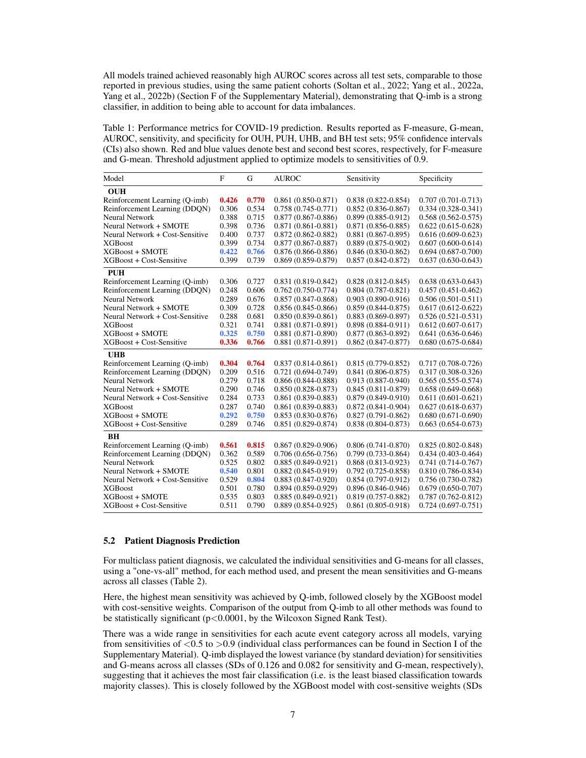All models trained achieved reasonably high AUROC scores across all test sets, comparable to those reported in previous studies, using the same patient cohorts (Soltan et al., 2022; Yang et al., 2022a, Yang et al., 2022b) (Section F of the Supplementary Material), demonstrating that Q-imb is a strong classifier, in addition to being able to account for data imbalances.

Table 1: Performance metrics for COVID-19 prediction. Results reported as F-measure, G-mean, AUROC, sensitivity, and specificity for OUH, PUH, UHB, and BH test sets; 95% confidence intervals (CIs) also shown. Red and blue values denote best and second best scores, respectively, for F-measure and G-mean. Threshold adjustment applied to optimize models to sensitivities of 0.9.

| Model                           | F     | G     | <b>AUROC</b>           | Sensitivity            | Specificity            |
|---------------------------------|-------|-------|------------------------|------------------------|------------------------|
| <b>OUH</b>                      |       |       |                        |                        |                        |
| Reinforcement Learning (Q-imb)  | 0.426 | 0.770 | $0.861(0.850-0.871)$   | $0.838(0.822 - 0.854)$ | $0.707(0.701 - 0.713)$ |
| Reinforcement Learning (DDQN)   | 0.306 | 0.534 | $0.758(0.745-0.771)$   | $0.852(0.836 - 0.867)$ | $0.334(0.328-0.341)$   |
| <b>Neural Network</b>           | 0.388 | 0.715 | $0.877(0.867 - 0.886)$ | $0.899(0.885 - 0.912)$ | $0.568(0.562 - 0.575)$ |
| Neural Network + SMOTE          | 0.398 | 0.736 | $0.871(0.861 - 0.881)$ | $0.871(0.856 - 0.885)$ | $0.622(0.615-0.628)$   |
| Neural Network + Cost-Sensitive | 0.400 | 0.737 | $0.872(0.862 - 0.882)$ | $0.881(0.867-0.895)$   | $0.616(0.609 - 0.623)$ |
| <b>XGBoost</b>                  | 0.399 | 0.734 | $0.877(0.867 - 0.887)$ | $0.889(0.875-0.902)$   | $0.607(0.600-0.614)$   |
| <b>XGBoost + SMOTE</b>          | 0.422 | 0.766 | $0.876(0.866 - 0.886)$ | $0.846(0.830-0.862)$   | $0.694(0.687-0.700)$   |
| XGBoost + Cost-Sensitive        | 0.399 | 0.739 | $0.869(0.859 - 0.879)$ | $0.857(0.842 - 0.872)$ | $0.637(0.630-0.643)$   |
| PUH                             |       |       |                        |                        |                        |
| Reinforcement Learning (Q-imb)  | 0.306 | 0.727 | $0.831(0.819 - 0.842)$ | $0.828(0.812 - 0.845)$ | $0.638(0.633 - 0.643)$ |
| Reinforcement Learning (DDQN)   | 0.248 | 0.606 | $0.762(0.750-0.774)$   | $0.804(0.787-0.821)$   | $0.457(0.451-0.462)$   |
| Neural Network                  | 0.289 | 0.676 | $0.857(0.847-0.868)$   | $0.903(0.890-0.916)$   | $0.506(0.501 - 0.511)$ |
| Neural Network + SMOTE          | 0.309 | 0.728 | $0.856(0.845-0.866)$   | $0.859(0.844-0.875)$   | $0.617(0.612 - 0.622)$ |
| Neural Network + Cost-Sensitive | 0.288 | 0.681 | $0.850(0.839 - 0.861)$ | $0.883(0.869 - 0.897)$ | $0.526(0.521-0.531)$   |
| <b>XGBoost</b>                  | 0.321 | 0.741 | $0.881(0.871-0.891)$   | $0.898(0.884 - 0.911)$ | $0.612(0.607 - 0.617)$ |
| <b>XGBoost + SMOTE</b>          | 0.325 | 0.750 | $0.881(0.871-0.890)$   | $0.877(0.863 - 0.892)$ | $0.641(0.636-0.646)$   |
| XGBoost + Cost-Sensitive        | 0.336 | 0.766 | $0.881(0.871-0.891)$   | $0.862(0.847 - 0.877)$ | $0.680(0.675-0.684)$   |
| <b>UHB</b>                      |       |       |                        |                        |                        |
| Reinforcement Learning (Q-imb)  | 0.304 | 0.764 | $0.837(0.814 - 0.861)$ | $0.815(0.779-0.852)$   | $0.717(0.708-0.726)$   |
| Reinforcement Learning (DDQN)   | 0.209 | 0.516 | $0.721(0.694 - 0.749)$ | $0.841(0.806 - 0.875)$ | $0.317(0.308 - 0.326)$ |
| Neural Network                  | 0.279 | 0.718 | $0.866(0.844-0.888)$   | $0.913(0.887 - 0.940)$ | $0.565(0.555-0.574)$   |
| Neural Network + SMOTE          | 0.290 | 0.746 | $0.850(0.828 - 0.873)$ | $0.845(0.811 - 0.879)$ | $0.658(0.649-0.668)$   |
| Neural Network + Cost-Sensitive | 0.284 | 0.733 | $0.861(0.839 - 0.883)$ | $0.879(0.849 - 0.910)$ | $0.611(0.601 - 0.621)$ |
| <b>XGBoost</b>                  | 0.287 | 0.740 | $0.861(0.839 - 0.883)$ | $0.872(0.841 - 0.904)$ | $0.627(0.618-0.637)$   |
| <b>XGBoost + SMOTE</b>          | 0.292 | 0.750 | $0.853(0.830 - 0.876)$ | $0.827(0.791 - 0.862)$ | $0.680(0.671-0.690)$   |
| XGBoost + Cost-Sensitive        | 0.289 | 0.746 | $0.851(0.829 - 0.874)$ | $0.838(0.804 - 0.873)$ | $0.663(0.654-0.673)$   |
| <b>BH</b>                       |       |       |                        |                        |                        |
| Reinforcement Learning (Q-imb)  | 0.561 | 0.815 | $0.867(0.829-0.906)$   | $0.806(0.741-0.870)$   | $0.825(0.802 - 0.848)$ |
| Reinforcement Learning (DDQN)   | 0.362 | 0.589 | $0.706(0.656-0.756)$   | $0.799(0.733 - 0.864)$ | $0.434(0.403 - 0.464)$ |
| <b>Neural Network</b>           | 0.525 | 0.802 | $0.885(0.849-0.921)$   | $0.868(0.813 - 0.923)$ | $0.741(0.714-0.767)$   |
| Neural Network + SMOTE          | 0.540 | 0.801 | $0.882(0.845-0.919)$   | $0.792(0.725-0.858)$   | $0.810(0.786 - 0.834)$ |
| Neural Network + Cost-Sensitive | 0.529 | 0.804 | $0.883(0.847-0.920)$   | $0.854(0.797-0.912)$   | $0.756(0.730-0.782)$   |
| <b>XGBoost</b>                  | 0.501 | 0.780 | $0.894(0.859-0.929)$   | $0.896(0.846-0.946)$   | $0.679(0.650-0.707)$   |
| XGBoost + SMOTE                 | 0.535 | 0.803 | $0.885(0.849-0.921)$   | $0.819(0.757-0.882)$   | $0.787(0.762 - 0.812)$ |
| XGBoost + Cost-Sensitive        | 0.511 | 0.790 | $0.889(0.854-0.925)$   | $0.861(0.805 - 0.918)$ | $0.724(0.697-0.751)$   |

#### 5.2 Patient Diagnosis Prediction

For multiclass patient diagnosis, we calculated the individual sensitivities and G-means for all classes, using a "one-vs-all" method, for each method used, and present the mean sensitivities and G-means across all classes (Table 2).

Here, the highest mean sensitivity was achieved by Q-imb, followed closely by the XGBoost model with cost-sensitive weights. Comparison of the output from Q-imb to all other methods was found to be statistically significant ( $p < 0.0001$ , by the Wilcoxon Signed Rank Test).

There was a wide range in sensitivities for each acute event category across all models, varying from sensitivities of  $\langle 0.5 \text{ to } 0.9 \text{ (individual class performances can be found in Section I of the$ Supplementary Material). Q-imb displayed the lowest variance (by standard deviation) for sensitivities and G-means across all classes (SDs of 0.126 and 0.082 for sensitivity and G-mean, respectively), suggesting that it achieves the most fair classification (i.e. is the least biased classification towards majority classes). This is closely followed by the XGBoost model with cost-sensitive weights (SDs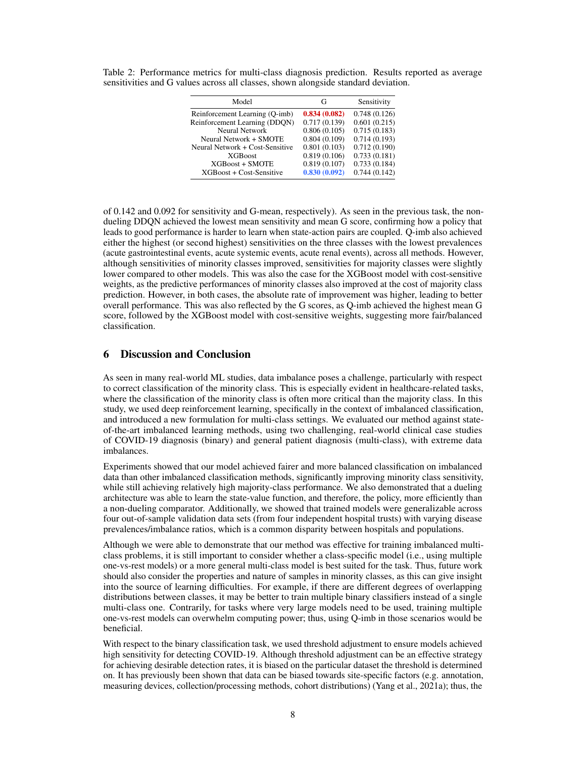| Model                           | G            | Sensitivity  |
|---------------------------------|--------------|--------------|
| Reinforcement Learning (Q-imb)  | 0.834(0.082) | 0.748(0.126) |
| Reinforcement Learning (DDON)   | 0.717(0.139) | 0.601(0.215) |
| <b>Neural Network</b>           | 0.806(0.105) | 0.715(0.183) |
| Neural Network + SMOTE          | 0.804(0.109) | 0.714(0.193) |
| Neural Network + Cost-Sensitive | 0.801(0.103) | 0.712(0.190) |
| <b>XGBoost</b>                  | 0.819(0.106) | 0.733(0.181) |
| <b>XGBoost + SMOTE</b>          | 0.819(0.107) | 0.733(0.184) |
| XGBoost + Cost-Sensitive        | 0.830(0.092) | 0.744(0.142) |

Table 2: Performance metrics for multi-class diagnosis prediction. Results reported as average sensitivities and G values across all classes, shown alongside standard deviation.

of 0.142 and 0.092 for sensitivity and G-mean, respectively). As seen in the previous task, the nondueling DDQN achieved the lowest mean sensitivity and mean G score, confirming how a policy that leads to good performance is harder to learn when state-action pairs are coupled. Q-imb also achieved either the highest (or second highest) sensitivities on the three classes with the lowest prevalences (acute gastrointestinal events, acute systemic events, acute renal events), across all methods. However, although sensitivities of minority classes improved, sensitivities for majority classes were slightly lower compared to other models. This was also the case for the XGBoost model with cost-sensitive weights, as the predictive performances of minority classes also improved at the cost of majority class prediction. However, in both cases, the absolute rate of improvement was higher, leading to better overall performance. This was also reflected by the G scores, as Q-imb achieved the highest mean G score, followed by the XGBoost model with cost-sensitive weights, suggesting more fair/balanced classification.

# 6 Discussion and Conclusion

As seen in many real-world ML studies, data imbalance poses a challenge, particularly with respect to correct classification of the minority class. This is especially evident in healthcare-related tasks, where the classification of the minority class is often more critical than the majority class. In this study, we used deep reinforcement learning, specifically in the context of imbalanced classification, and introduced a new formulation for multi-class settings. We evaluated our method against stateof-the-art imbalanced learning methods, using two challenging, real-world clinical case studies of COVID-19 diagnosis (binary) and general patient diagnosis (multi-class), with extreme data imbalances.

Experiments showed that our model achieved fairer and more balanced classification on imbalanced data than other imbalanced classification methods, significantly improving minority class sensitivity, while still achieving relatively high majority-class performance. We also demonstrated that a dueling architecture was able to learn the state-value function, and therefore, the policy, more efficiently than a non-dueling comparator. Additionally, we showed that trained models were generalizable across four out-of-sample validation data sets (from four independent hospital trusts) with varying disease prevalences/imbalance ratios, which is a common disparity between hospitals and populations.

Although we were able to demonstrate that our method was effective for training imbalanced multiclass problems, it is still important to consider whether a class-specific model (i.e., using multiple one-vs-rest models) or a more general multi-class model is best suited for the task. Thus, future work should also consider the properties and nature of samples in minority classes, as this can give insight into the source of learning difficulties. For example, if there are different degrees of overlapping distributions between classes, it may be better to train multiple binary classifiers instead of a single multi-class one. Contrarily, for tasks where very large models need to be used, training multiple one-vs-rest models can overwhelm computing power; thus, using Q-imb in those scenarios would be beneficial.

With respect to the binary classification task, we used threshold adjustment to ensure models achieved high sensitivity for detecting COVID-19. Although threshold adjustment can be an effective strategy for achieving desirable detection rates, it is biased on the particular dataset the threshold is determined on. It has previously been shown that data can be biased towards site-specific factors (e.g. annotation, measuring devices, collection/processing methods, cohort distributions) (Yang et al., 2021a); thus, the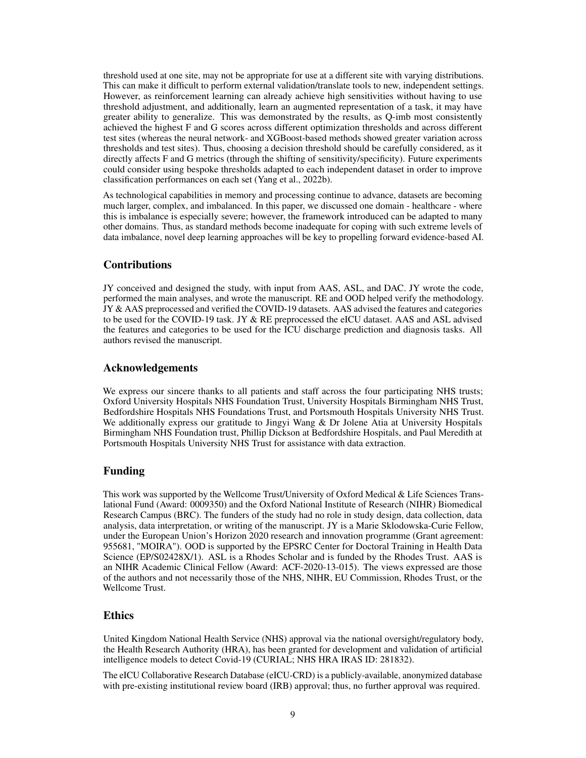threshold used at one site, may not be appropriate for use at a different site with varying distributions. This can make it difficult to perform external validation/translate tools to new, independent settings. However, as reinforcement learning can already achieve high sensitivities without having to use threshold adjustment, and additionally, learn an augmented representation of a task, it may have greater ability to generalize. This was demonstrated by the results, as Q-imb most consistently achieved the highest F and G scores across different optimization thresholds and across different test sites (whereas the neural network- and XGBoost-based methods showed greater variation across thresholds and test sites). Thus, choosing a decision threshold should be carefully considered, as it directly affects F and G metrics (through the shifting of sensitivity/specificity). Future experiments could consider using bespoke thresholds adapted to each independent dataset in order to improve classification performances on each set (Yang et al., 2022b).

As technological capabilities in memory and processing continue to advance, datasets are becoming much larger, complex, and imbalanced. In this paper, we discussed one domain - healthcare - where this is imbalance is especially severe; however, the framework introduced can be adapted to many other domains. Thus, as standard methods become inadequate for coping with such extreme levels of data imbalance, novel deep learning approaches will be key to propelling forward evidence-based AI.

## Contributions

JY conceived and designed the study, with input from AAS, ASL, and DAC. JY wrote the code, performed the main analyses, and wrote the manuscript. RE and OOD helped verify the methodology. JY & AAS preprocessed and verified the COVID-19 datasets. AAS advised the features and categories to be used for the COVID-19 task. JY & RE preprocessed the eICU dataset. AAS and ASL advised the features and categories to be used for the ICU discharge prediction and diagnosis tasks. All authors revised the manuscript.

## Acknowledgements

We express our sincere thanks to all patients and staff across the four participating NHS trusts; Oxford University Hospitals NHS Foundation Trust, University Hospitals Birmingham NHS Trust, Bedfordshire Hospitals NHS Foundations Trust, and Portsmouth Hospitals University NHS Trust. We additionally express our gratitude to Jingyi Wang & Dr Jolene Atia at University Hospitals Birmingham NHS Foundation trust, Phillip Dickson at Bedfordshire Hospitals, and Paul Meredith at Portsmouth Hospitals University NHS Trust for assistance with data extraction.

## Funding

This work was supported by the Wellcome Trust/University of Oxford Medical & Life Sciences Translational Fund (Award: 0009350) and the Oxford National Institute of Research (NIHR) Biomedical Research Campus (BRC). The funders of the study had no role in study design, data collection, data analysis, data interpretation, or writing of the manuscript. JY is a Marie Sklodowska-Curie Fellow, under the European Union's Horizon 2020 research and innovation programme (Grant agreement: 955681, "MOIRA"). OOD is supported by the EPSRC Center for Doctoral Training in Health Data Science (EP/S02428X/1). ASL is a Rhodes Scholar and is funded by the Rhodes Trust. AAS is an NIHR Academic Clinical Fellow (Award: ACF-2020-13-015). The views expressed are those of the authors and not necessarily those of the NHS, NIHR, EU Commission, Rhodes Trust, or the Wellcome Trust.

## Ethics

United Kingdom National Health Service (NHS) approval via the national oversight/regulatory body, the Health Research Authority (HRA), has been granted for development and validation of artificial intelligence models to detect Covid-19 (CURIAL; NHS HRA IRAS ID: 281832).

The eICU Collaborative Research Database (eICU-CRD) is a publicly-available, anonymized database with pre-existing institutional review board (IRB) approval; thus, no further approval was required.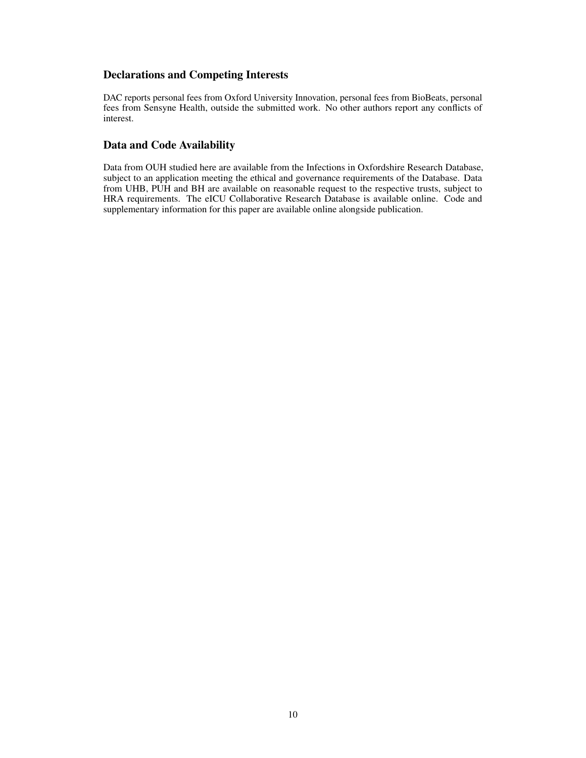# Declarations and Competing Interests

DAC reports personal fees from Oxford University Innovation, personal fees from BioBeats, personal fees from Sensyne Health, outside the submitted work. No other authors report any conflicts of interest.

# Data and Code Availability

Data from OUH studied here are available from the Infections in Oxfordshire Research Database, subject to an application meeting the ethical and governance requirements of the Database. Data from UHB, PUH and BH are available on reasonable request to the respective trusts, subject to HRA requirements. The eICU Collaborative Research Database is available online. Code and supplementary information for this paper are available online alongside publication.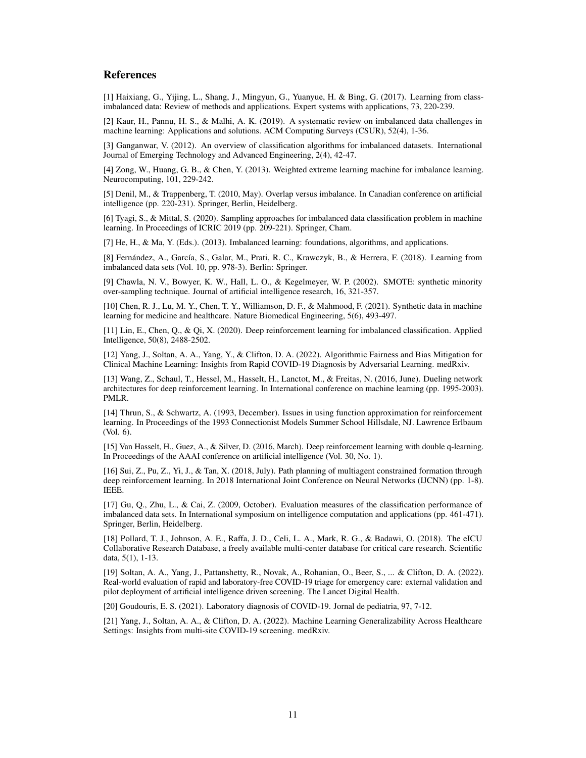# References

[1] Haixiang, G., Yijing, L., Shang, J., Mingyun, G., Yuanyue, H. & Bing, G. (2017). Learning from classimbalanced data: Review of methods and applications. Expert systems with applications, 73, 220-239.

[2] Kaur, H., Pannu, H. S., & Malhi, A. K. (2019). A systematic review on imbalanced data challenges in machine learning: Applications and solutions. ACM Computing Surveys (CSUR), 52(4), 1-36.

[3] Ganganwar, V. (2012). An overview of classification algorithms for imbalanced datasets. International Journal of Emerging Technology and Advanced Engineering, 2(4), 42-47.

[4] Zong, W., Huang, G. B., & Chen, Y. (2013). Weighted extreme learning machine for imbalance learning. Neurocomputing, 101, 229-242.

[5] Denil, M., & Trappenberg, T. (2010, May). Overlap versus imbalance. In Canadian conference on artificial intelligence (pp. 220-231). Springer, Berlin, Heidelberg.

[6] Tyagi, S., & Mittal, S. (2020). Sampling approaches for imbalanced data classification problem in machine learning. In Proceedings of ICRIC 2019 (pp. 209-221). Springer, Cham.

[7] He, H., & Ma, Y. (Eds.). (2013). Imbalanced learning: foundations, algorithms, and applications.

[8] Fernández, A., García, S., Galar, M., Prati, R. C., Krawczyk, B., & Herrera, F. (2018). Learning from imbalanced data sets (Vol. 10, pp. 978-3). Berlin: Springer.

[9] Chawla, N. V., Bowyer, K. W., Hall, L. O., & Kegelmeyer, W. P. (2002). SMOTE: synthetic minority over-sampling technique. Journal of artificial intelligence research, 16, 321-357.

[10] Chen, R. J., Lu, M. Y., Chen, T. Y., Williamson, D. F., & Mahmood, F. (2021). Synthetic data in machine learning for medicine and healthcare. Nature Biomedical Engineering, 5(6), 493-497.

[11] Lin, E., Chen, Q., & Qi, X. (2020). Deep reinforcement learning for imbalanced classification. Applied Intelligence, 50(8), 2488-2502.

[12] Yang, J., Soltan, A. A., Yang, Y., & Clifton, D. A. (2022). Algorithmic Fairness and Bias Mitigation for Clinical Machine Learning: Insights from Rapid COVID-19 Diagnosis by Adversarial Learning. medRxiv.

[13] Wang, Z., Schaul, T., Hessel, M., Hasselt, H., Lanctot, M., & Freitas, N. (2016, June). Dueling network architectures for deep reinforcement learning. In International conference on machine learning (pp. 1995-2003). PMLR.

[14] Thrun, S., & Schwartz, A. (1993, December). Issues in using function approximation for reinforcement learning. In Proceedings of the 1993 Connectionist Models Summer School Hillsdale, NJ. Lawrence Erlbaum (Vol. 6).

[15] Van Hasselt, H., Guez, A., & Silver, D. (2016, March). Deep reinforcement learning with double q-learning. In Proceedings of the AAAI conference on artificial intelligence (Vol. 30, No. 1).

[16] Sui, Z., Pu, Z., Yi, J., & Tan, X. (2018, July). Path planning of multiagent constrained formation through deep reinforcement learning. In 2018 International Joint Conference on Neural Networks (IJCNN) (pp. 1-8). IEEE.

[17] Gu, Q., Zhu, L., & Cai, Z. (2009, October). Evaluation measures of the classification performance of imbalanced data sets. In International symposium on intelligence computation and applications (pp. 461-471). Springer, Berlin, Heidelberg.

[18] Pollard, T. J., Johnson, A. E., Raffa, J. D., Celi, L. A., Mark, R. G., & Badawi, O. (2018). The eICU Collaborative Research Database, a freely available multi-center database for critical care research. Scientific data, 5(1), 1-13.

[19] Soltan, A. A., Yang, J., Pattanshetty, R., Novak, A., Rohanian, O., Beer, S., ... & Clifton, D. A. (2022). Real-world evaluation of rapid and laboratory-free COVID-19 triage for emergency care: external validation and pilot deployment of artificial intelligence driven screening. The Lancet Digital Health.

[20] Goudouris, E. S. (2021). Laboratory diagnosis of COVID-19. Jornal de pediatria, 97, 7-12.

[21] Yang, J., Soltan, A. A., & Clifton, D. A. (2022). Machine Learning Generalizability Across Healthcare Settings: Insights from multi-site COVID-19 screening. medRxiv.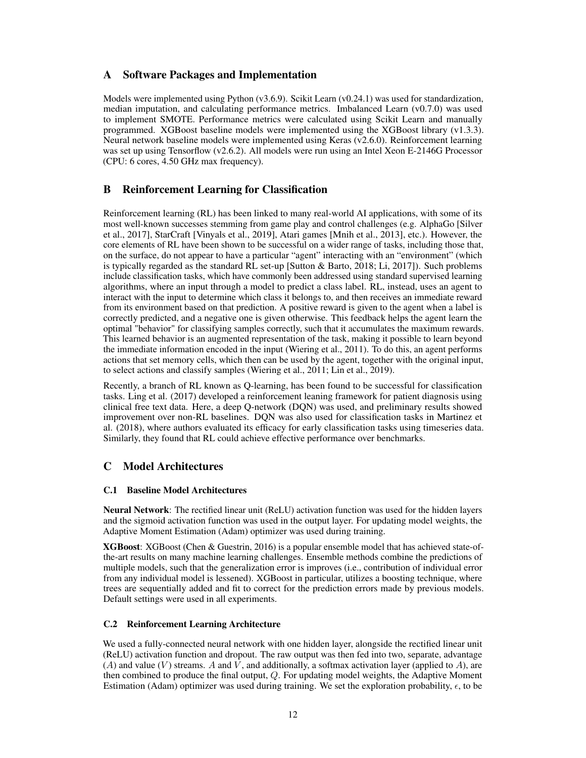# A Software Packages and Implementation

Models were implemented using Python  $(v3.6.9)$ . Scikit Learn  $(v0.24.1)$  was used for standardization, median imputation, and calculating performance metrics. Imbalanced Learn  $(v0.7.0)$  was used to implement SMOTE. Performance metrics were calculated using Scikit Learn and manually programmed. XGBoost baseline models were implemented using the XGBoost library (v1.3.3). Neural network baseline models were implemented using Keras (v2.6.0). Reinforcement learning was set up using Tensorflow (v2.6.2). All models were run using an Intel Xeon E-2146G Processor (CPU: 6 cores, 4.50 GHz max frequency).

# B Reinforcement Learning for Classification

Reinforcement learning (RL) has been linked to many real-world AI applications, with some of its most well-known successes stemming from game play and control challenges (e.g. AlphaGo [Silver et al., 2017], StarCraft [Vinyals et al., 2019], Atari games [Mnih et al., 2013], etc.). However, the core elements of RL have been shown to be successful on a wider range of tasks, including those that, on the surface, do not appear to have a particular "agent" interacting with an "environment" (which is typically regarded as the standard RL set-up [Sutton & Barto, 2018; Li, 2017]). Such problems include classification tasks, which have commonly been addressed using standard supervised learning algorithms, where an input through a model to predict a class label. RL, instead, uses an agent to interact with the input to determine which class it belongs to, and then receives an immediate reward from its environment based on that prediction. A positive reward is given to the agent when a label is correctly predicted, and a negative one is given otherwise. This feedback helps the agent learn the optimal "behavior" for classifying samples correctly, such that it accumulates the maximum rewards. This learned behavior is an augmented representation of the task, making it possible to learn beyond the immediate information encoded in the input (Wiering et al., 2011). To do this, an agent performs actions that set memory cells, which then can be used by the agent, together with the original input, to select actions and classify samples (Wiering et al., 2011; Lin et al., 2019).

Recently, a branch of RL known as Q-learning, has been found to be successful for classification tasks. Ling et al. (2017) developed a reinforcement leaning framework for patient diagnosis using clinical free text data. Here, a deep Q-network (DQN) was used, and preliminary results showed improvement over non-RL baselines. DQN was also used for classification tasks in Martinez et al. (2018), where authors evaluated its efficacy for early classification tasks using timeseries data. Similarly, they found that RL could achieve effective performance over benchmarks.

# C Model Architectures

## C.1 Baseline Model Architectures

Neural Network: The rectified linear unit (ReLU) activation function was used for the hidden layers and the sigmoid activation function was used in the output layer. For updating model weights, the Adaptive Moment Estimation (Adam) optimizer was used during training.

XGBoost: XGBoost (Chen & Guestrin, 2016) is a popular ensemble model that has achieved state-ofthe-art results on many machine learning challenges. Ensemble methods combine the predictions of multiple models, such that the generalization error is improves (i.e., contribution of individual error from any individual model is lessened). XGBoost in particular, utilizes a boosting technique, where trees are sequentially added and fit to correct for the prediction errors made by previous models. Default settings were used in all experiments.

## C.2 Reinforcement Learning Architecture

We used a fully-connected neural network with one hidden layer, alongside the rectified linear unit (ReLU) activation function and dropout. The raw output was then fed into two, separate, advantage (A) and value (V) streams. A and  $\bar{V}$ , and additionally, a softmax activation layer (applied to A), are then combined to produce the final output, Q. For updating model weights, the Adaptive Moment Estimation (Adam) optimizer was used during training. We set the exploration probability,  $\epsilon$ , to be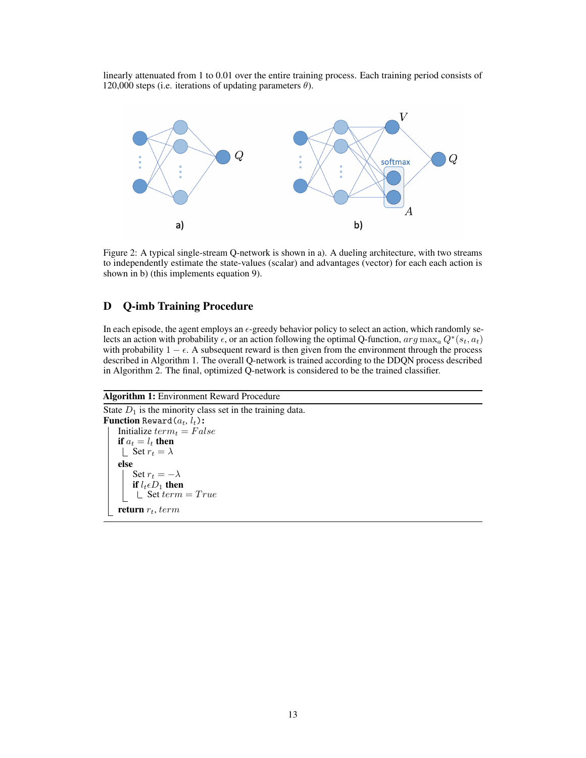linearly attenuated from 1 to 0.01 over the entire training process. Each training period consists of 120,000 steps (i.e. iterations of updating parameters  $\theta$ ).



Figure 2: A typical single-stream Q-network is shown in a). A dueling architecture, with two streams to independently estimate the state-values (scalar) and advantages (vector) for each each action is shown in b) (this implements equation 9).

# D Q-imb Training Procedure

In each episode, the agent employs an  $\epsilon$ -greedy behavior policy to select an action, which randomly selects an action with probability  $\epsilon$ , or an action following the optimal Q-function,  $arg \max_a Q^*(s_t, a_t)$ with probability  $1 - \epsilon$ . A subsequent reward is then given from the environment through the process described in Algorithm 1. The overall Q-network is trained according to the DDQN process described in Algorithm 2. The final, optimized Q-network is considered to be the trained classifier.

#### Algorithm 1: Environment Reward Procedure

```
State D_1 is the minority class set in the training data.
Function Reward(a_t, l_t):
    Initialize term_t = Falseif a_t = l_t then
     | Set r_t = \lambdaelse
        Set r_t = -\lambdaif l_t \epsilon D_1 then
         \Box Set term = True
    return r_t, term
```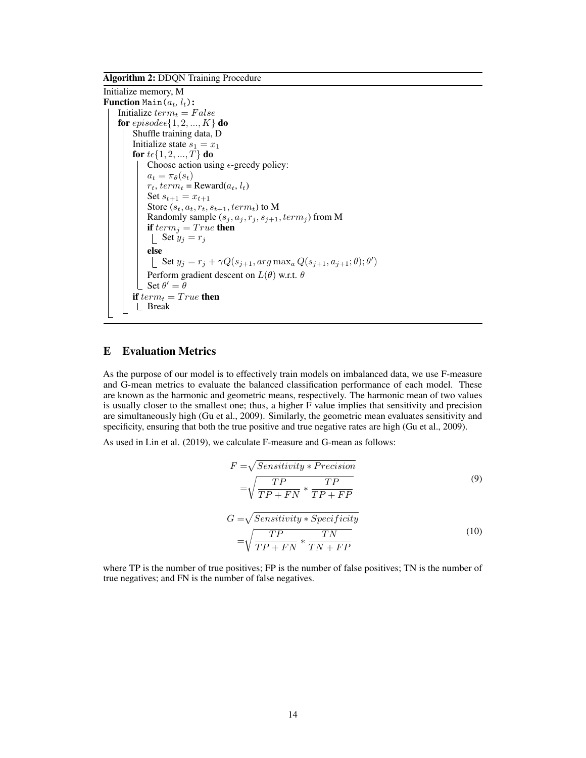Algorithm 2: DDQN Training Procedure

Initialize memory, M **Function** Main $(a_t, l_t)$ : Initialize  $term_t = False$ for  $episode \in \{1, 2, ..., K\}$  do Shuffle training data, D Initialize state  $s_1 = x_1$ for  $t \in \{1, 2, ..., T\}$  do Choose action using  $\epsilon$ -greedy policy:  $a_t = \pi_{\theta}(s_t)$  $r_t$ ,  $term_t =$ Reward $(a_t, l_t)$ Set  $s_{t+1} = x_{t+1}$ Store  $(s_t, a_t, r_t, s_{t+1}, term_t)$  to  $\bf M$ Randomly sample  $(s_j, a_j, r_j, s_{j+1}, term_j)$  from M if  $term_i = True$  then  $\int$  Set  $y_j = r_j$ else Set  $y_j = r_j + \gamma Q(s_{j+1}, \arg \max_a Q(s_{j+1}, a_{j+1}; \theta); \theta')$ Perform gradient descent on  $L(\theta)$  w.r.t.  $\theta$ Set  $\theta' = \theta$ if  $term_t = True$  then Break

# E Evaluation Metrics

As the purpose of our model is to effectively train models on imbalanced data, we use F-measure and G-mean metrics to evaluate the balanced classification performance of each model. These are known as the harmonic and geometric means, respectively. The harmonic mean of two values is usually closer to the smallest one; thus, a higher  $\vec{F}$  value implies that sensitivity and precision are simultaneously high (Gu et al., 2009). Similarly, the geometric mean evaluates sensitivity and specificity, ensuring that both the true positive and true negative rates are high (Gu et al., 2009).

As used in Lin et al. (2019), we calculate F-measure and G-mean as follows:

$$
F = \sqrt{Sensitivity * Precision}
$$
  
=  $\sqrt{\frac{TP}{TP + FN} * \frac{TP}{TP + FP}}$  (9)

$$
G = \sqrt{Sensitivity * Specificity}
$$
  
=  $\sqrt{\frac{TP}{TP + FN} * \frac{TN}{TN + FP}}$  (10)

where TP is the number of true positives; FP is the number of false positives; TN is the number of true negatives; and FN is the number of false negatives.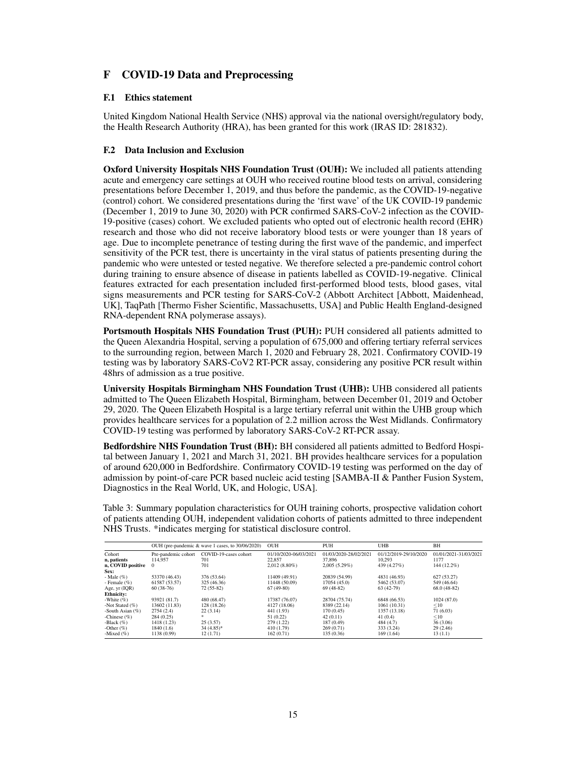# F COVID-19 Data and Preprocessing

#### F.1 Ethics statement

United Kingdom National Health Service (NHS) approval via the national oversight/regulatory body, the Health Research Authority (HRA), has been granted for this work (IRAS ID: 281832).

## F.2 Data Inclusion and Exclusion

Oxford University Hospitals NHS Foundation Trust (OUH): We included all patients attending acute and emergency care settings at OUH who received routine blood tests on arrival, considering presentations before December 1, 2019, and thus before the pandemic, as the COVID-19-negative (control) cohort. We considered presentations during the 'first wave' of the UK COVID-19 pandemic (December 1, 2019 to June 30, 2020) with PCR confirmed SARS-CoV-2 infection as the COVID-19-positive (cases) cohort. We excluded patients who opted out of electronic health record (EHR) research and those who did not receive laboratory blood tests or were younger than 18 years of age. Due to incomplete penetrance of testing during the first wave of the pandemic, and imperfect sensitivity of the PCR test, there is uncertainty in the viral status of patients presenting during the pandemic who were untested or tested negative. We therefore selected a pre-pandemic control cohort during training to ensure absence of disease in patients labelled as COVID-19-negative. Clinical features extracted for each presentation included first-performed blood tests, blood gases, vital signs measurements and PCR testing for SARS-CoV-2 (Abbott Architect [Abbott, Maidenhead, UK], TaqPath [Thermo Fisher Scientific, Massachusetts, USA] and Public Health England-designed RNA-dependent RNA polymerase assays).

Portsmouth Hospitals NHS Foundation Trust (PUH): PUH considered all patients admitted to the Queen Alexandria Hospital, serving a population of 675,000 and offering tertiary referral services to the surrounding region, between March 1, 2020 and February 28, 2021. Confirmatory COVID-19 testing was by laboratory SARS-CoV2 RT-PCR assay, considering any positive PCR result within 48hrs of admission as a true positive.

University Hospitals Birmingham NHS Foundation Trust (UHB): UHB considered all patients admitted to The Queen Elizabeth Hospital, Birmingham, between December 01, 2019 and October 29, 2020. The Queen Elizabeth Hospital is a large tertiary referral unit within the UHB group which provides healthcare services for a population of 2.2 million across the West Midlands. Confirmatory COVID-19 testing was performed by laboratory SARS-CoV-2 RT-PCR assay.

Bedfordshire NHS Foundation Trust (BH): BH considered all patients admitted to Bedford Hospital between January 1, 2021 and March 31, 2021. BH provides healthcare services for a population of around 620,000 in Bedfordshire. Confirmatory COVID-19 testing was performed on the day of admission by point-of-care PCR based nucleic acid testing [SAMBA-II & Panther Fusion System, Diagnostics in the Real World, UK, and Hologic, USA].

Table 3: Summary population characteristics for OUH training cohorts, prospective validation cohort of patients attending OUH, independent validation cohorts of patients admitted to three independent NHS Trusts. \*indicates merging for statistical disclosure control.

|                     |                     | OUH (pre-pandemic & wave 1 cases, to 30/06/2020) | <b>OUH</b>            | <b>PUH</b>            | <b>UHB</b>            | BH                    |
|---------------------|---------------------|--------------------------------------------------|-----------------------|-----------------------|-----------------------|-----------------------|
| Cohort              | Pre-pandemic cohort | COVID-19-cases cohort                            | 01/10/2020-06/03/2021 | 01/03/2020-28/02/2021 | 01/12/2019-29/10/2020 | 01/01/2021-31/03/2021 |
| n, patients         | 114.957             | 701                                              | 22,857                | 37,896                | 10.293                | 1177                  |
| n, COVID positive 0 |                     | 701                                              | $2.012(8.80\%)$       | 2.005(5.29%)          | 439 (4.27%)           | 144 (12.2%)           |
| Sex:                |                     |                                                  |                       |                       |                       |                       |
| - Male $(\% )$      | 53370 (46.43)       | 376 (53.64)                                      | 11409 (49.91)         | 20839 (54.99)         | 4831 (46.93)          | 627(53.27)            |
| - Female $(\% )$    | 61587 (53.57)       | 325 (46.36)                                      | 11448 (50.09)         | 17054 (45.0)          | 5462 (53.07)          | 549 (46.64)           |
| Age, $yr$ (IQR)     | $60(38-76)$         | $72(55-82)$                                      | $67(49-80)$           | $69(48-82)$           | $63(42-79)$           | $68.0(48-82)$         |
| <b>Ethnicity:</b>   |                     |                                                  |                       |                       |                       |                       |
| -White $(\%)$       | 93921 (81.7)        | 480 (68.47)                                      | 17387 (76.07)         | 28704 (75.74)         | 6848 (66.53)          | 1024(87.0)            |
| -Not Stated $(\%)$  | 13602 (11.83)       | 128 (18.26)                                      | 4127 (18.06)          | 8389 (22.14)          | 1061 (10.31)          | <10                   |
| -South Asian $(\%)$ | 2754(2.4)           | 22(3.14)                                         | 441 (1.93)            | 170(0.45)             | 1357 (13.18)          | 71 (6.03)             |
| -Chinese $(\% )$    | 284 (0.25)          | $\mathcal{R}$                                    | 51 (0.22)             | 42(0.11)              | 41(0.4)               | <10                   |
| -Black $(\%)$       | 1418 (1.23)         | 25(3.57)                                         | 279(1.22)             | 187(0.49)             | 484 (4.7)             | 36(3.06)              |
| -Other $(\%)$       | 1840 (1.6)          | $34(4.85)$ *                                     | 410 (1.79)            | 269(0.71)             | 333 (3.24)            | 29(2.46)              |
| -Mixed $(\% )$      | 1138 (0.99)         | 12(1.71)                                         | 162(0.71)             | 135(0.36)             | 169(1.64)             | 13(1.1)               |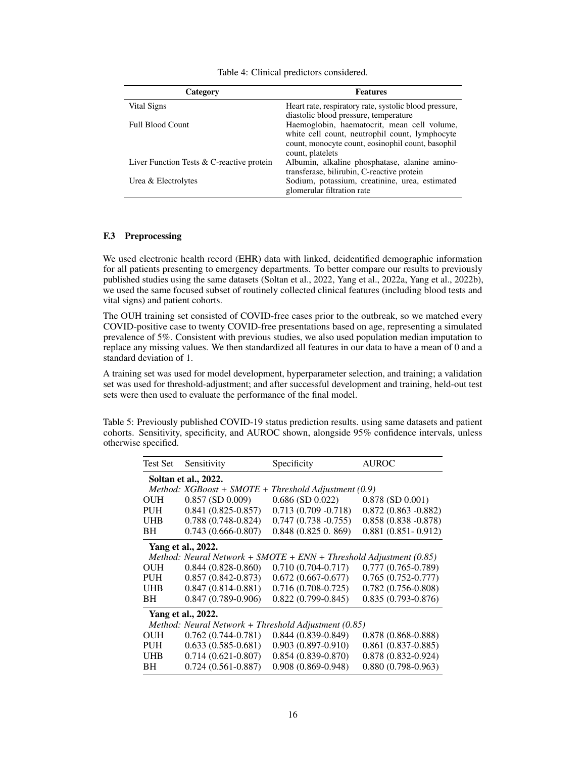| Category                                    | <b>Features</b>                                                                                                                                                        |
|---------------------------------------------|------------------------------------------------------------------------------------------------------------------------------------------------------------------------|
| Vital Signs                                 | Heart rate, respiratory rate, systolic blood pressure,<br>diastolic blood pressure, temperature                                                                        |
| <b>Full Blood Count</b>                     | Haemoglobin, haematocrit, mean cell volume,<br>white cell count, neutrophil count, lymphocyte<br>count, monocyte count, eosinophil count, basophil<br>count, platelets |
| Liver Function Tests $&$ C-reactive protein | Albumin, alkaline phosphatase, alanine amino-<br>transferase, bilirubin, C-reactive protein                                                                            |
| Urea & Electrolytes                         | Sodium, potassium, creatinine, urea, estimated<br>glomerular filtration rate                                                                                           |

Table 4: Clinical predictors considered.

#### F.3 Preprocessing

We used electronic health record (EHR) data with linked, deidentified demographic information for all patients presenting to emergency departments. To better compare our results to previously published studies using the same datasets (Soltan et al., 2022, Yang et al., 2022a, Yang et al., 2022b), we used the same focused subset of routinely collected clinical features (including blood tests and vital signs) and patient cohorts.

The OUH training set consisted of COVID-free cases prior to the outbreak, so we matched every COVID-positive case to twenty COVID-free presentations based on age, representing a simulated prevalence of 5%. Consistent with previous studies, we also used population median imputation to replace any missing values. We then standardized all features in our data to have a mean of 0 and a standard deviation of 1.

A training set was used for model development, hyperparameter selection, and training; a validation set was used for threshold-adjustment; and after successful development and training, held-out test sets were then used to evaluate the performance of the final model.

Table 5: Previously published COVID-19 status prediction results. using same datasets and patient cohorts. Sensitivity, specificity, and AUROC shown, alongside 95% confidence intervals, unless otherwise specified.

| Test Set   | Sensitivity                 | Specificity                                                          | <b>AUROC</b>           |
|------------|-----------------------------|----------------------------------------------------------------------|------------------------|
|            | Soltan et al., 2022.        |                                                                      |                        |
|            | Method: $XGBoost + SMOTE +$ | Threshold Adjustment (0.9)                                           |                        |
| <b>OUH</b> | $0.857$ (SD $0.009$ )       | $0.686$ (SD $0.022$ )                                                | $0.878$ (SD $0.001$ )  |
| <b>PUH</b> | $0.841(0.825-0.857)$        | $0.713(0.709 - 0.718)$                                               | $0.872(0.863 - 0.882)$ |
| <b>UHB</b> | $0.788(0.748-0.824)$        | $0.747(0.738 - 0.755)$                                               | $0.858(0.838 - 0.878)$ |
| BH         | $0.743(0.666-0.807)$        | 0.848(0.8250.869)                                                    | $0.881(0.851 - 0.912)$ |
|            | Yang et al., 2022.          |                                                                      |                        |
|            |                             | Method: Neural Network + $SMOTE + ENN + Threshold Adjustment (0.85)$ |                        |
| <b>OUH</b> | $0.844(0.828-0.860)$        | $0.710(0.704 - 0.717)$                                               | $0.777(0.765-0.789)$   |
| <b>PUH</b> | $0.857(0.842 - 0.873)$      | $0.672(0.667-0.677)$                                                 | $0.765(0.752 - 0.777)$ |
| <b>UHB</b> | $0.847(0.814 - 0.881)$      | $0.716(0.708-0.725)$                                                 | $0.782(0.756-0.808)$   |
| BH         | $0.847(0.789-0.906)$        | $0.822(0.799-0.845)$                                                 | $0.835(0.793 - 0.876)$ |
|            | Yang et al., 2022.          |                                                                      |                        |
|            |                             | Method: Neural Network + Threshold Adjustment (0.85)                 |                        |
| OUH        | $0.762(0.744-0.781)$        | $0.844(0.839 - 0.849)$                                               | $0.878(0.868 - 0.888)$ |
| <b>PUH</b> | $0.633(0.585-0.681)$        | $0.903(0.897 - 0.910)$                                               | $0.861(0.837-0.885)$   |
| <b>UHB</b> | $0.714(0.621-0.807)$        | $0.854(0.839-0.870)$                                                 | $0.878(0.832 - 0.924)$ |
| BH         | $0.724(0.561-0.887)$        | $0.908(0.869 - 0.948)$                                               | $0.880(0.798-0.963)$   |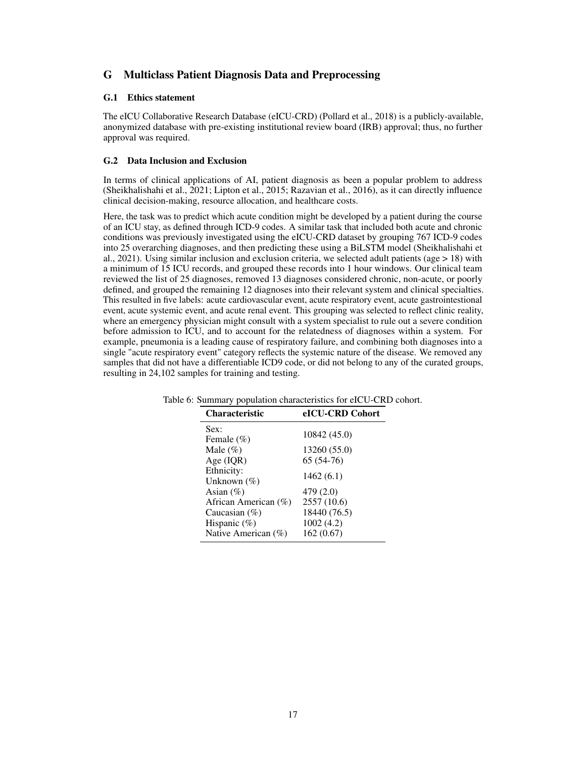# G Multiclass Patient Diagnosis Data and Preprocessing

## G.1 Ethics statement

The eICU Collaborative Research Database (eICU-CRD) (Pollard et al., 2018) is a publicly-available, anonymized database with pre-existing institutional review board (IRB) approval; thus, no further approval was required.

## G.2 Data Inclusion and Exclusion

In terms of clinical applications of AI, patient diagnosis as been a popular problem to address (Sheikhalishahi et al., 2021; Lipton et al., 2015; Razavian et al., 2016), as it can directly influence clinical decision-making, resource allocation, and healthcare costs.

Here, the task was to predict which acute condition might be developed by a patient during the course of an ICU stay, as defined through ICD-9 codes. A similar task that included both acute and chronic conditions was previously investigated using the eICU-CRD dataset by grouping 767 ICD-9 codes into 25 overarching diagnoses, and then predicting these using a BiLSTM model (Sheikhalishahi et al., 2021). Using similar inclusion and exclusion criteria, we selected adult patients (age  $> 18$ ) with a minimum of 15 ICU records, and grouped these records into 1 hour windows. Our clinical team reviewed the list of 25 diagnoses, removed 13 diagnoses considered chronic, non-acute, or poorly defined, and grouped the remaining 12 diagnoses into their relevant system and clinical specialties. This resulted in five labels: acute cardiovascular event, acute respiratory event, acute gastrointestional event, acute systemic event, and acute renal event. This grouping was selected to reflect clinic reality, where an emergency physician might consult with a system specialist to rule out a severe condition before admission to ICU, and to account for the relatedness of diagnoses within a system. For example, pneumonia is a leading cause of respiratory failure, and combining both diagnoses into a single "acute respiratory event" category reflects the systemic nature of the disease. We removed any samples that did not have a differentiable ICD9 code, or did not belong to any of the curated groups, resulting in 24,102 samples for training and testing.

| <b>Characteristic</b>  | eICU-CRD Cohort |
|------------------------|-----------------|
| Sex:                   | 10842 (45.0)    |
| Female $(\% )$         |                 |
| Male $(\%)$            | 13260 (55.0)    |
| Age $(IQR)$            | $65(54-76)$     |
| Ethnicity:             | 1462(6.1)       |
| Unknown $(\%)$         |                 |
| Asian $(\% )$          | 479 (2.0)       |
| African American (%)   | 2557 (10.6)     |
| Caucasian $(\%)$       | 18440 (76.5)    |
| Hispanic $(\%)$        | 1002 (4.2)      |
| Native American $(\%)$ | 162(0.67)       |

Table 6: Summary population characteristics for eICU-CRD cohort.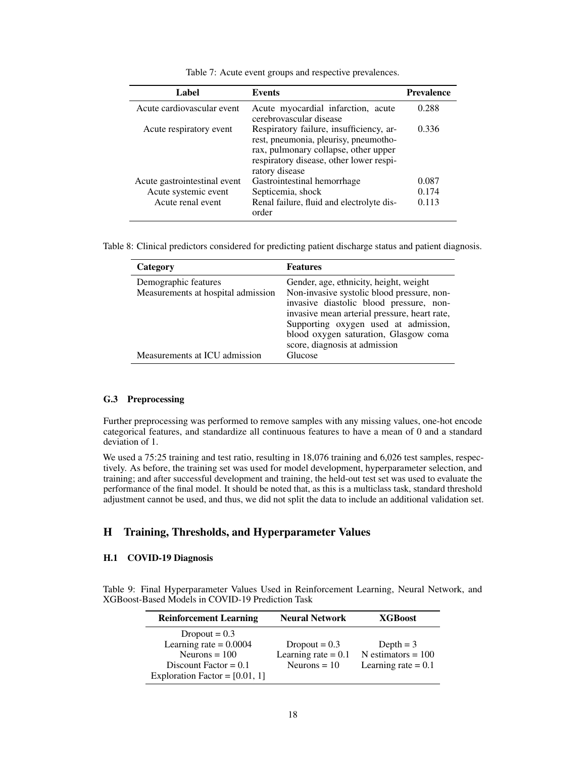| Label                        | Events                                                                                                                                                                                | <b>Prevalence</b> |
|------------------------------|---------------------------------------------------------------------------------------------------------------------------------------------------------------------------------------|-------------------|
| Acute cardiovascular event   | Acute myocardial infarction, acute<br>cerebrovascular disease                                                                                                                         | 0.288             |
| Acute respiratory event      | Respiratory failure, insufficiency, ar-<br>rest, pneumonia, pleurisy, pneumotho-<br>rax, pulmonary collapse, other upper<br>respiratory disease, other lower respi-<br>ratory disease | 0.336             |
| Acute gastrointestinal event | Gastrointestinal hemorrhage                                                                                                                                                           | 0.087             |
| Acute systemic event         | Septicemia, shock                                                                                                                                                                     | 0.174             |
| Acute renal event            | Renal failure, fluid and electrolyte dis-<br>order                                                                                                                                    | 0.113             |

Table 7: Acute event groups and respective prevalences.

Table 8: Clinical predictors considered for predicting patient discharge status and patient diagnosis.

| Category                                                   | <b>Features</b>                                                                                                                                                                                                                                                                                   |
|------------------------------------------------------------|---------------------------------------------------------------------------------------------------------------------------------------------------------------------------------------------------------------------------------------------------------------------------------------------------|
| Demographic features<br>Measurements at hospital admission | Gender, age, ethnicity, height, weight<br>Non-invasive systolic blood pressure, non-<br>invasive diastolic blood pressure, non-<br>invasive mean arterial pressure, heart rate,<br>Supporting oxygen used at admission,<br>blood oxygen saturation, Glasgow coma<br>score, diagnosis at admission |
| Measurements at ICU admission                              | Glucose                                                                                                                                                                                                                                                                                           |

## G.3 Preprocessing

Further preprocessing was performed to remove samples with any missing values, one-hot encode categorical features, and standardize all continuous features to have a mean of 0 and a standard deviation of 1.

We used a 75:25 training and test ratio, resulting in 18,076 training and 6,026 test samples, respectively. As before, the training set was used for model development, hyperparameter selection, and training; and after successful development and training, the held-out test set was used to evaluate the performance of the final model. It should be noted that, as this is a multiclass task, standard threshold adjustment cannot be used, and thus, we did not split the data to include an additional validation set.

# H Training, Thresholds, and Hyperparameter Values

#### H.1 COVID-19 Diagnosis

Table 9: Final Hyperparameter Values Used in Reinforcement Learning, Neural Network, and XGBoost-Based Models in COVID-19 Prediction Task

| <b>Reinforcement Learning</b>                                                                                                 | <b>Neural Network</b>                                      | <b>XGBoost</b>                                               |
|-------------------------------------------------------------------------------------------------------------------------------|------------------------------------------------------------|--------------------------------------------------------------|
| Dropout $= 0.3$<br>Learning rate $= 0.0004$<br>Neurons $= 100$<br>Discount Factor = $0.1$<br>Exploration Factor = $[0.01, 1]$ | Dropout $= 0.3$<br>Learning rate $= 0.1$<br>Neurons $= 10$ | Depth $=$ 3<br>N estimators = $100$<br>Learning rate $= 0.1$ |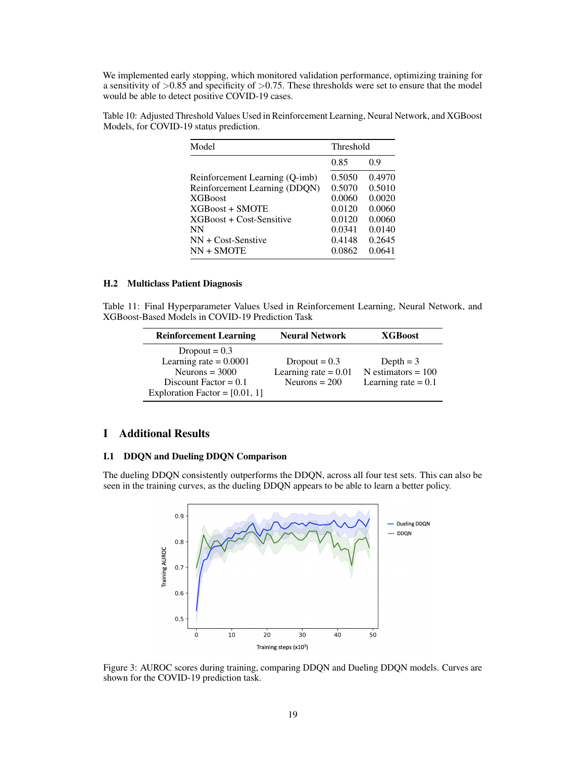We implemented early stopping, which monitored validation performance, optimizing training for a sensitivity of  $>0.85$  and specificity of  $>0.75$ . These thresholds were set to ensure that the model would be able to detect positive COVID-19 cases.

Table 10: Adjusted Threshold Values Used in Reinforcement Learning, Neural Network, and XGBoost Models, for COVID-19 status prediction.

| Model                          | Threshold |        |  |
|--------------------------------|-----------|--------|--|
|                                | 0.85      | 0.9    |  |
| Reinforcement Learning (Q-imb) | 0.5050    | 0.4970 |  |
| Reinforcement Learning (DDQN)  | 0.5070    | 0.5010 |  |
| <b>XGBoost</b>                 | 0.0060    | 0.0020 |  |
| $XGBoost + SMOTE$              | 0.0120    | 0.0060 |  |
| XGBoost + Cost-Sensitive       | 0.0120    | 0.0060 |  |
| <b>NN</b>                      | 0.0341    | 0.0140 |  |
| $NN + Cost-Sensitive$          | 0.4148    | 0.2645 |  |
| $NN + SMOTE$                   | 0.0862    | 0.0641 |  |

#### H.2 Multiclass Patient Diagnosis

Table 11: Final Hyperparameter Values Used in Reinforcement Learning, Neural Network, and XGBoost-Based Models in COVID-19 Prediction Task

| <b>Reinforcement Learning</b>    | <b>Neural Network</b>  | <b>XGBoost</b>        |
|----------------------------------|------------------------|-----------------------|
| Dropout $= 0.3$                  |                        |                       |
| Learning rate $= 0.0001$         | Dropout $= 0.3$        | Depth $=$ 3           |
| Neurons = $3000$                 | Learning rate $= 0.01$ | $N$ estimators = 100  |
| Discount Factor = $0.1$          | Neurons $= 200$        | Learning rate $= 0.1$ |
| Exploration Factor = $[0.01, 1]$ |                        |                       |

# I Additional Results

#### I.1 DDQN and Dueling DDQN Comparison

The dueling DDQN consistently outperforms the DDQN, across all four test sets. This can also be seen in the training curves, as the dueling DDQN appears to be able to learn a better policy.



Figure 3: AUROC scores during training, comparing DDQN and Dueling DDQN models. Curves are shown for the COVID-19 prediction task.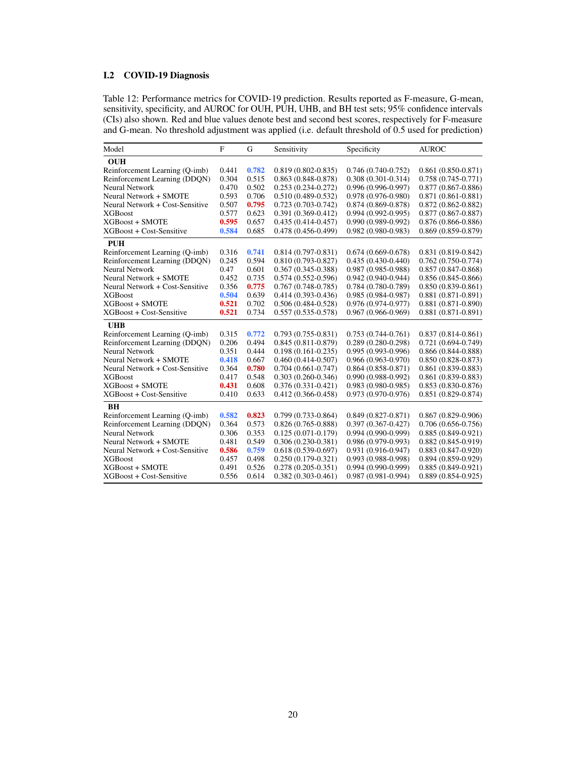# I.2 COVID-19 Diagnosis

Table 12: Performance metrics for COVID-19 prediction. Results reported as F-measure, G-mean, sensitivity, specificity, and AUROC for OUH, PUH, UHB, and BH test sets; 95% confidence intervals (CIs) also shown. Red and blue values denote best and second best scores, respectively for F-measure and G-mean. No threshold adjustment was applied (i.e. default threshold of 0.5 used for prediction)

| Model                           | $\mathbf{F}$ | G     | Sensitivity            | Specificity            | <b>AUROC</b>           |
|---------------------------------|--------------|-------|------------------------|------------------------|------------------------|
| <b>OUH</b>                      |              |       |                        |                        |                        |
| Reinforcement Learning (Q-imb)  | 0.441        | 0.782 | $0.819(0.802 - 0.835)$ | $0.746(0.740-0.752)$   | $0.861(0.850-0.871)$   |
| Reinforcement Learning (DDQN)   | 0.304        | 0.515 | $0.863(0.848-0.878)$   | $0.308(0.301 - 0.314)$ | $0.758(0.745-0.771)$   |
| <b>Neural Network</b>           | 0.470        | 0.502 | $0.253(0.234 - 0.272)$ | $0.996(0.996-0.997)$   | $0.877(0.867 - 0.886)$ |
| Neural Network + SMOTE          | 0.593        | 0.706 | $0.510(0.489 - 0.532)$ | 0.978 (0.976-0.980)    | $0.871(0.861 - 0.881)$ |
| Neural Network + Cost-Sensitive | 0.507        | 0.795 | $0.723(0.703 - 0.742)$ | $0.874(0.869 - 0.878)$ | $0.872(0.862 - 0.882)$ |
| <b>XGBoost</b>                  | 0.577        | 0.623 | $0.391(0.369 - 0.412)$ | $0.994(0.992 - 0.995)$ | $0.877(0.867 - 0.887)$ |
| <b>XGBoost + SMOTE</b>          | 0.595        | 0.657 | $0.435(0.414 - 0.457)$ | $0.990(0.989 - 0.992)$ | $0.876(0.866-0.886)$   |
| XGBoost + Cost-Sensitive        | 0.584        | 0.685 | $0.478(0.456-0.499)$   | $0.982(0.980-0.983)$   | $0.869(0.859 - 0.879)$ |
| <b>PUH</b>                      |              |       |                        |                        |                        |
| Reinforcement Learning (Q-imb)  | 0.316        | 0.741 | $0.814(0.797-0.831)$   | $0.674(0.669-0.678)$   | $0.831(0.819 - 0.842)$ |
| Reinforcement Learning (DDQN)   | 0.245        | 0.594 | $0.810(0.793 - 0.827)$ | $0.435(0.430-0.440)$   | $0.762(0.750-0.774)$   |
| <b>Neural Network</b>           | 0.47         | 0.601 | $0.367(0.345 - 0.388)$ | $0.987(0.985 - 0.988)$ | $0.857(0.847-0.868)$   |
| Neural Network + SMOTE          | 0.452        | 0.735 | $0.574(0.552-0.596)$   | $0.942(0.940-0.944)$   | $0.856(0.845-0.866)$   |
| Neural Network + Cost-Sensitive | 0.356        | 0.775 | $0.767(0.748-0.785)$   | $0.784(0.780-0.789)$   | $0.850(0.839 - 0.861)$ |
| <b>XGBoost</b>                  | 0.504        | 0.639 | $0.414(0.393 - 0.436)$ | $0.985(0.984 - 0.987)$ | $0.881(0.871-0.891)$   |
| <b>XGBoost + SMOTE</b>          | 0.521        | 0.702 | $0.506(0.484 - 0.528)$ | $0.976(0.974-0.977)$   | $0.881(0.871-0.890)$   |
| XGBoost + Cost-Sensitive        | 0.521        | 0.734 | $0.557(0.535-0.578)$   | $0.967(0.966-0.969)$   | $0.881(0.871-0.891)$   |
| <b>UHB</b>                      |              |       |                        |                        |                        |
| Reinforcement Learning (Q-imb)  | 0.315        | 0.772 | $0.793(0.755-0.831)$   | $0.753(0.744-0.761)$   | $0.837(0.814 - 0.861)$ |
| Reinforcement Learning (DDQN)   | 0.206        | 0.494 | $0.845(0.811 - 0.879)$ | $0.289(0.280-0.298)$   | $0.721(0.694 - 0.749)$ |
| <b>Neural Network</b>           | 0.351        | 0.444 | $0.198(0.161 - 0.235)$ | $0.995(0.993 - 0.996)$ | $0.866(0.844-0.888)$   |
| Neural Network + SMOTE          | 0.418        | 0.667 | $0.460(0.414 - 0.507)$ | $0.966(0.963 - 0.970)$ | $0.850(0.828 - 0.873)$ |
| Neural Network + Cost-Sensitive | 0.364        | 0.780 | $0.704(0.661-0.747)$   | $0.864(0.858-0.871)$   | $0.861(0.839 - 0.883)$ |
| <b>XGBoost</b>                  | 0.417        | 0.548 | $0.303(0.260-0.346)$   | 0.990 (0.988-0.992)    | $0.861(0.839 - 0.883)$ |
| <b>XGBoost + SMOTE</b>          | 0.431        | 0.608 | $0.376(0.331 - 0.421)$ | $0.983(0.980-0.985)$   | $0.853(0.830 - 0.876)$ |
| XGBoost + Cost-Sensitive        | 0.410        | 0.633 | $0.412(0.366 - 0.458)$ | 0.973 (0.970-0.976)    | $0.851(0.829 - 0.874)$ |
| BH                              |              |       |                        |                        |                        |
| Reinforcement Learning (Q-imb)  | 0.582        | 0.823 | $0.799(0.733 - 0.864)$ | $0.849(0.827 - 0.871)$ | $0.867(0.829-0.906)$   |
| Reinforcement Learning (DDON)   | 0.364        | 0.573 | $0.826(0.765-0.888)$   | $0.397(0.367 - 0.427)$ | $0.706(0.656-0.756)$   |
| <b>Neural Network</b>           | 0.306        | 0.353 | $0.125(0.071-0.179)$   | $0.994(0.990-0.999)$   | $0.885(0.849-0.921)$   |
| Neural Network + SMOTE          | 0.481        | 0.549 | $0.306(0.230-0.381)$   | $0.986(0.979-0.993)$   | $0.882(0.845-0.919)$   |
| Neural Network + Cost-Sensitive | 0.586        | 0.759 | $0.618(0.539 - 0.697)$ | $0.931(0.916-0.947)$   | $0.883(0.847-0.920)$   |
| <b>XGBoost</b>                  | 0.457        | 0.498 | $0.250(0.179-0.321)$   | 0.993 (0.988-0.998)    | $0.894(0.859-0.929)$   |
| $XGBoost + SMOTE$               | 0.491        | 0.526 | $0.278(0.205 - 0.351)$ | $0.994(0.990-0.999)$   | $0.885(0.849-0.921)$   |
| XGBoost + Cost-Sensitive        | 0.556        | 0.614 | $0.382(0.303 - 0.461)$ | $0.987(0.981 - 0.994)$ | $0.889(0.854-0.925)$   |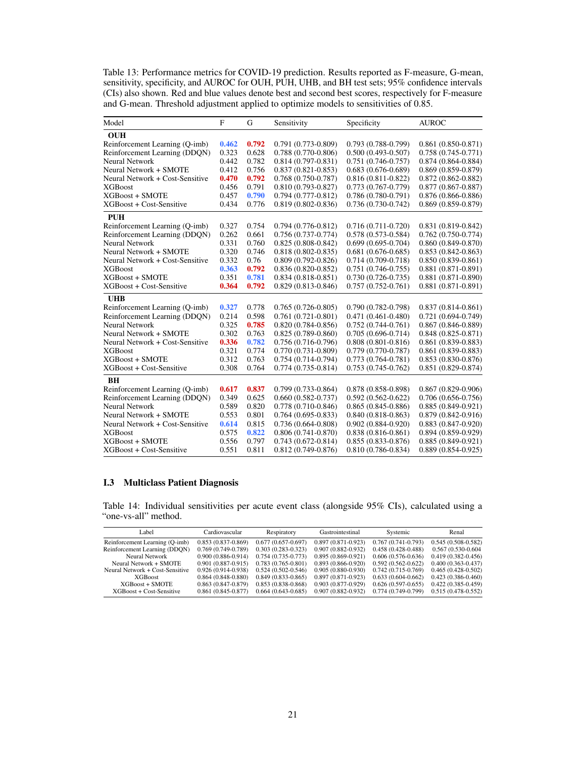Table 13: Performance metrics for COVID-19 prediction. Results reported as F-measure, G-mean, sensitivity, specificity, and AUROC for OUH, PUH, UHB, and BH test sets; 95% confidence intervals (CIs) also shown. Red and blue values denote best and second best scores, respectively for F-measure and G-mean. Threshold adjustment applied to optimize models to sensitivities of 0.85.

| Model                           | $\mathbf{F}$ | G     | Sensitivity            | Specificity            | <b>AUROC</b>           |
|---------------------------------|--------------|-------|------------------------|------------------------|------------------------|
| <b>OUH</b>                      |              |       |                        |                        |                        |
| Reinforcement Learning (Q-imb)  | 0.462        | 0.792 | $0.791(0.773-0.809)$   | $0.793(0.788-0.799)$   | $0.861(0.850-0.871)$   |
| Reinforcement Learning (DDQN)   | 0.323        | 0.628 | $0.788(0.770-0.806)$   | $0.500(0.493 - 0.507)$ | $0.758(0.745-0.771)$   |
| <b>Neural Network</b>           | 0.442        | 0.782 | $0.814(0.797-0.831)$   | $0.751(0.746-0.757)$   | $0.874(0.864 - 0.884)$ |
| Neural Network + SMOTE          | 0.412        | 0.756 | $0.837(0.821 - 0.853)$ | $0.683(0.676-0.689)$   | $0.869(0.859-0.879)$   |
| Neural Network + Cost-Sensitive | 0.470        | 0.792 | $0.768(0.750-0.787)$   | $0.816(0.811 - 0.822)$ | $0.872(0.862 - 0.882)$ |
| <b>XGBoost</b>                  | 0.456        | 0.791 | $0.810(0.793 - 0.827)$ | $0.773(0.767 - 0.779)$ | $0.877(0.867 - 0.887)$ |
| <b>XGBoost + SMOTE</b>          | 0.457        | 0.790 | $0.794(0.777-0.812)$   | $0.786(0.780-0.791)$   | $0.876(0.866-0.886)$   |
| XGBoost + Cost-Sensitive        | 0.434        | 0.776 | $0.819(0.802 - 0.836)$ | $0.736(0.730-0.742)$   | $0.869(0.859 - 0.879)$ |
| <b>PUH</b>                      |              |       |                        |                        |                        |
| Reinforcement Learning (Q-imb)  | 0.327        | 0.754 | $0.794(0.776-0.812)$   | $0.716(0.711-0.720)$   | $0.831(0.819 - 0.842)$ |
| Reinforcement Learning (DDQN)   | 0.262        | 0.661 | $0.756(0.737-0.774)$   | $0.578(0.573 - 0.584)$ | $0.762(0.750-0.774)$   |
| <b>Neural Network</b>           | 0.331        | 0.760 | $0.825(0.808 - 0.842)$ | $0.699(0.695 - 0.704)$ | $0.860(0.849 - 0.870)$ |
| Neural Network + SMOTE          | 0.320        | 0.746 | $0.818(0.802 - 0.835)$ | $0.681(0.676-0.685)$   | $0.853(0.842 - 0.863)$ |
| Neural Network + Cost-Sensitive | 0.332        | 0.76  | $0.809(0.792 - 0.826)$ | $0.714(0.709 - 0.718)$ | $0.850(0.839 - 0.861)$ |
| <b>XGBoost</b>                  | 0.363        | 0.792 | $0.836(0.820-0.852)$   | $0.751(0.746-0.755)$   | $0.881(0.871-0.891)$   |
| <b>XGBoost + SMOTE</b>          | 0.351        | 0.781 | $0.834(0.818-0.851)$   | $0.730(0.726-0.735)$   | $0.881(0.871-0.890)$   |
| XGBoost + Cost-Sensitive        | 0.364        | 0.792 | $0.829(0.813 - 0.846)$ | $0.757(0.752 - 0.761)$ | $0.881(0.871-0.891)$   |
| <b>UHB</b>                      |              |       |                        |                        |                        |
| Reinforcement Learning (Q-imb)  | 0.327        | 0.778 | $0.765(0.726-0.805)$   | $0.790(0.782 - 0.798)$ | $0.837(0.814-0.861)$   |
| Reinforcement Learning (DDQN)   | 0.214        | 0.598 | $0.761(0.721-0.801)$   | $0.471(0.461 - 0.480)$ | $0.721(0.694 - 0.749)$ |
| <b>Neural Network</b>           | 0.325        | 0.785 | $0.820(0.784 - 0.856)$ | $0.752(0.744-0.761)$   | $0.867(0.846-0.889)$   |
| Neural Network + SMOTE          | 0.302        | 0.763 | $0.825(0.789 - 0.860)$ | $0.705(0.696-0.714)$   | $0.848(0.825-0.871)$   |
| Neural Network + Cost-Sensitive | 0.336        | 0.782 | $0.756(0.716-0.796)$   | $0.808(0.801 - 0.816)$ | $0.861(0.839 - 0.883)$ |
| <b>XGBoost</b>                  | 0.321        | 0.774 | $0.770(0.731 - 0.809)$ | $0.779(0.770-0.787)$   | $0.861(0.839 - 0.883)$ |
| $XGBoost + SMOTE$               | 0.312        | 0.763 | $0.754(0.714-0.794)$   | $0.773(0.764 - 0.781)$ | $0.853(0.830-0.876)$   |
| XGBoost + Cost-Sensitive        | 0.308        | 0.764 | $0.774(0.735-0.814)$   | $0.753(0.745-0.762)$   | $0.851(0.829 - 0.874)$ |
| BН                              |              |       |                        |                        |                        |
| Reinforcement Learning (Q-imb)  | 0.617        | 0.837 | $0.799(0.733 - 0.864)$ | 0.878 (0.858-0.898)    | $0.867(0.829-0.906)$   |
| Reinforcement Learning (DDQN)   | 0.349        | 0.625 | $0.660(0.582 - 0.737)$ | $0.592(0.562 - 0.622)$ | $0.706(0.656-0.756)$   |
| <b>Neural Network</b>           | 0.589        | 0.820 | 0.778 (0.710-0.846)    | $0.865(0.845-0.886)$   | $0.885(0.849 - 0.921)$ |
| Neural Network + SMOTE          | 0.553        | 0.801 | $0.764(0.695-0.833)$   | $0.840(0.818-0.863)$   | $0.879(0.842 - 0.916)$ |
| Neural Network + Cost-Sensitive | 0.614        | 0.815 | $0.736(0.664 - 0.808)$ | $0.902(0.884 - 0.920)$ | $0.883(0.847-0.920)$   |
| <b>XGBoost</b>                  | 0.575        | 0.822 | $0.806(0.741-0.870)$   | $0.838(0.816 - 0.861)$ | $0.894(0.859-0.929)$   |
| <b>XGBoost + SMOTE</b>          | 0.556        | 0.797 | $0.743(0.672 - 0.814)$ | $0.855(0.833 - 0.876)$ | $0.885(0.849-0.921)$   |
| XGBoost + Cost-Sensitive        | 0.551        | 0.811 | $0.812(0.749-0.876)$   | $0.810(0.786 - 0.834)$ | $0.889(0.854-0.925)$   |

## I.3 Multiclass Patient Diagnosis

Table 14: Individual sensitivities per acute event class (alongside 95% CIs), calculated using a "one-vs-all" method.

| Label.                          | Cardiovascular         | Respiratory            | Gastrointestinal       | Systemic               | Renal                  |
|---------------------------------|------------------------|------------------------|------------------------|------------------------|------------------------|
| Reinforcement Learning (Q-imb)  | $0.853(0.837-0.869)$   | $0.677(0.657-0.697)$   | $0.897(0.871-0.923)$   | $0.767(0.741-0.793)$   | $0.545(0.508 - 0.582)$ |
| Reinforcement Learning (DDON)   | $0.769(0.749-0.789)$   | $0.303(0.283 - 0.323)$ | $0.907(0.882 - 0.932)$ | $0.458(0.428 - 0.488)$ | 0.567 (0.530-0.604)    |
| <b>Neural Network</b>           | $0.900(0.886 - 0.914)$ | $0.754(0.735 - 0.773)$ | $0.895(0.869 - 0.921)$ | $0.606(0.576-0.636)$   | $0.419(0.382 - 0.456)$ |
| Neural Network + SMOTE          | $0.901(0.887 - 0.915)$ | $0.783(0.765 - 0.801)$ | $0.893(0.866 - 0.920)$ | $0.592(0.562 - 0.622)$ | $0.400(0.363 - 0.437)$ |
| Neural Network + Cost-Sensitive | $0.926(0.914 - 0.938)$ | $0.524(0.502 - 0.546)$ | $0.905(0.880 - 0.930)$ | $0.742(0.715-0.769)$   | $0.465(0.428-0.502)$   |
| <b>XGBoost</b>                  | $0.864(0.848-0.880)$   | $0.849(0.833 - 0.865)$ | $0.897(0.871 - 0.923)$ | $0.633(0.604 - 0.662)$ | $0.423(0.386 - 0.460)$ |
| $XGBoost + SMOTE$               | $0.863(0.847-0.879)$   | $0.853(0.838 - 0.868)$ | $0.903(0.877-0.929)$   | $0.626(0.597-0.655)$   | $0.422(0.385 - 0.459)$ |
| $XGBoost + Cost-Sensitive$      | $0.861(0.845 - 0.877)$ | $0.664(0.643 - 0.685)$ | $0.907(0.882 - 0.932)$ | $0.774(0.749-0.799)$   | $0.515(0.478-0.552)$   |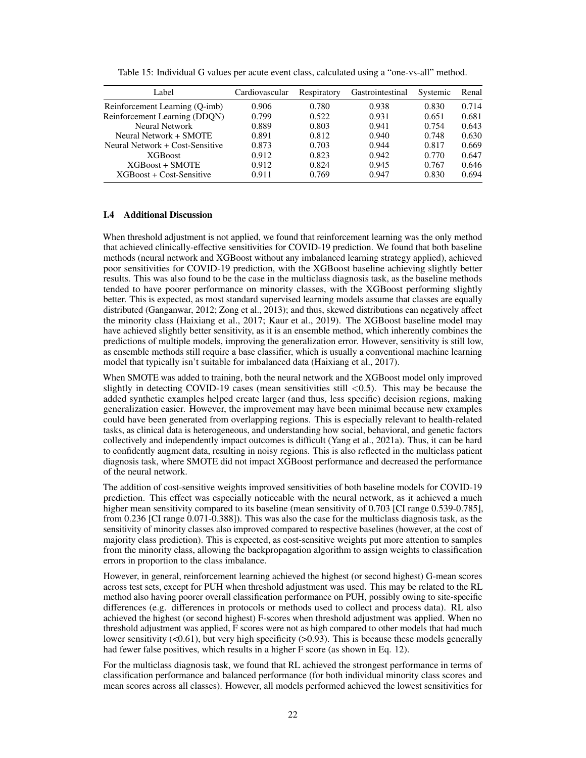| Label                           | Cardiovascular | Respiratory | Gastrointestinal | Systemic | Renal |
|---------------------------------|----------------|-------------|------------------|----------|-------|
| Reinforcement Learning (Q-imb)  | 0.906          | 0.780       | 0.938            | 0.830    | 0.714 |
| Reinforcement Learning (DDQN)   | 0.799          | 0.522       | 0.931            | 0.651    | 0.681 |
| Neural Network                  | 0.889          | 0.803       | 0.941            | 0.754    | 0.643 |
| Neural Network + SMOTE          | 0.891          | 0.812       | 0.940            | 0.748    | 0.630 |
| Neural Network + Cost-Sensitive | 0.873          | 0.703       | 0.944            | 0.817    | 0.669 |
| <b>XGB</b> oost                 | 0.912          | 0.823       | 0.942            | 0.770    | 0.647 |
| XGBoost + SMOTE                 | 0.912          | 0.824       | 0.945            | 0.767    | 0.646 |
| $XGBoost + Cost-Sensitive$      | 0.911          | 0.769       | 0.947            | 0.830    | 0.694 |

Table 15: Individual G values per acute event class, calculated using a "one-vs-all" method.

## I.4 Additional Discussion

When threshold adjustment is not applied, we found that reinforcement learning was the only method that achieved clinically-effective sensitivities for COVID-19 prediction. We found that both baseline methods (neural network and XGBoost without any imbalanced learning strategy applied), achieved poor sensitivities for COVID-19 prediction, with the XGBoost baseline achieving slightly better results. This was also found to be the case in the multiclass diagnosis task, as the baseline methods tended to have poorer performance on minority classes, with the XGBoost performing slightly better. This is expected, as most standard supervised learning models assume that classes are equally distributed (Ganganwar, 2012; Zong et al., 2013); and thus, skewed distributions can negatively affect the minority class (Haixiang et al., 2017; Kaur et al., 2019). The XGBoost baseline model may have achieved slightly better sensitivity, as it is an ensemble method, which inherently combines the predictions of multiple models, improving the generalization error. However, sensitivity is still low, as ensemble methods still require a base classifier, which is usually a conventional machine learning model that typically isn't suitable for imbalanced data (Haixiang et al., 2017).

When SMOTE was added to training, both the neural network and the XGBoost model only improved slightly in detecting COVID-19 cases (mean sensitivities still  $\langle 0.5 \rangle$ ). This may be because the added synthetic examples helped create larger (and thus, less specific) decision regions, making generalization easier. However, the improvement may have been minimal because new examples could have been generated from overlapping regions. This is especially relevant to health-related tasks, as clinical data is heterogeneous, and understanding how social, behavioral, and genetic factors collectively and independently impact outcomes is difficult (Yang et al., 2021a). Thus, it can be hard to confidently augment data, resulting in noisy regions. This is also reflected in the multiclass patient diagnosis task, where SMOTE did not impact XGBoost performance and decreased the performance of the neural network.

The addition of cost-sensitive weights improved sensitivities of both baseline models for COVID-19 prediction. This effect was especially noticeable with the neural network, as it achieved a much higher mean sensitivity compared to its baseline (mean sensitivity of 0.703 [CI range 0.539-0.785], from 0.236 [CI range 0.071-0.388]). This was also the case for the multiclass diagnosis task, as the sensitivity of minority classes also improved compared to respective baselines (however, at the cost of majority class prediction). This is expected, as cost-sensitive weights put more attention to samples from the minority class, allowing the backpropagation algorithm to assign weights to classification errors in proportion to the class imbalance.

However, in general, reinforcement learning achieved the highest (or second highest) G-mean scores across test sets, except for PUH when threshold adjustment was used. This may be related to the RL method also having poorer overall classification performance on PUH, possibly owing to site-specific differences (e.g. differences in protocols or methods used to collect and process data). RL also achieved the highest (or second highest) F-scores when threshold adjustment was applied. When no threshold adjustment was applied, F scores were not as high compared to other models that had much lower sensitivity (<0.61), but very high specificity (>0.93). This is because these models generally had fewer false positives, which results in a higher F score (as shown in Eq. 12).

For the multiclass diagnosis task, we found that RL achieved the strongest performance in terms of classification performance and balanced performance (for both individual minority class scores and mean scores across all classes). However, all models performed achieved the lowest sensitivities for